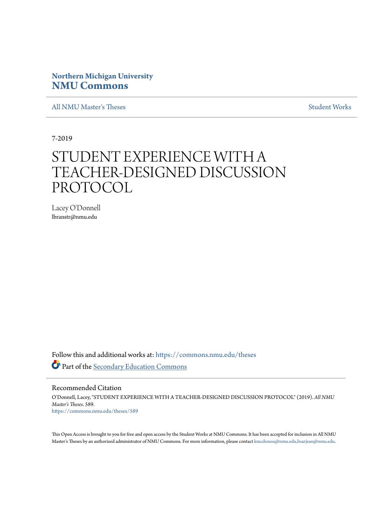# **Northern Michigan University [NMU Commons](https://commons.nmu.edu/?utm_source=commons.nmu.edu%2Ftheses%2F589&utm_medium=PDF&utm_campaign=PDFCoverPages)**

[All NMU Master's Theses](https://commons.nmu.edu/theses?utm_source=commons.nmu.edu%2Ftheses%2F589&utm_medium=PDF&utm_campaign=PDFCoverPages) [Student Works](https://commons.nmu.edu/student_works?utm_source=commons.nmu.edu%2Ftheses%2F589&utm_medium=PDF&utm_campaign=PDFCoverPages)

7-2019

# STUDENT EXPERIENCE WITH A TEACHER-DESIGNED DISCUSSION PROTOCOL

Lacey O'Donnell lbranstr@nmu.edu

Follow this and additional works at: [https://commons.nmu.edu/theses](https://commons.nmu.edu/theses?utm_source=commons.nmu.edu%2Ftheses%2F589&utm_medium=PDF&utm_campaign=PDFCoverPages) Part of the [Secondary Education Commons](http://network.bepress.com/hgg/discipline/1382?utm_source=commons.nmu.edu%2Ftheses%2F589&utm_medium=PDF&utm_campaign=PDFCoverPages)

Recommended Citation

O'Donnell, Lacey, "STUDENT EXPERIENCE WITH A TEACHER-DESIGNED DISCUSSION PROTOCOL" (2019). *All NMU Master's Theses*. 589. [https://commons.nmu.edu/theses/589](https://commons.nmu.edu/theses/589?utm_source=commons.nmu.edu%2Ftheses%2F589&utm_medium=PDF&utm_campaign=PDFCoverPages)

This Open Access is brought to you for free and open access by the Student Works at NMU Commons. It has been accepted for inclusion in All NMU Master's Theses by an authorized administrator of NMU Commons. For more information, please contact [kmcdonou@nmu.edu,bsarjean@nmu.edu.](mailto:kmcdonou@nmu.edu,bsarjean@nmu.edu)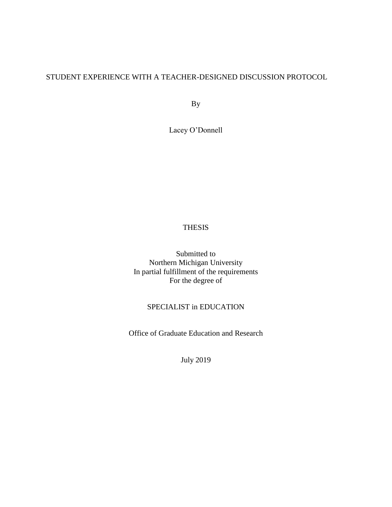# STUDENT EXPERIENCE WITH A TEACHER-DESIGNED DISCUSSION PROTOCOL

By

Lacey O'Donnell

### THESIS

Submitted to Northern Michigan University In partial fulfillment of the requirements For the degree of

### SPECIALIST in EDUCATION

Office of Graduate Education and Research

July 2019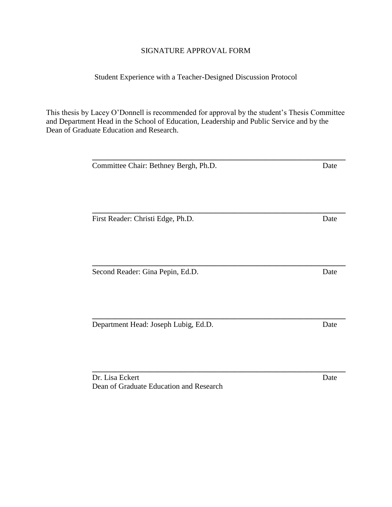### SIGNATURE APPROVAL FORM

### Student Experience with a Teacher-Designed Discussion Protocol

This thesis by Lacey O'Donnell is recommended for approval by the student's Thesis Committee and Department Head in the School of Education, Leadership and Public Service and by the Dean of Graduate Education and Research.

**\_\_\_\_\_\_\_\_\_\_\_\_\_\_\_\_\_\_\_\_\_\_\_\_\_\_\_\_\_\_\_\_\_\_\_\_\_\_\_\_\_\_\_\_\_\_\_\_\_\_\_\_\_\_\_\_\_\_\_\_\_\_\_\_\_\_**

**\_\_\_\_\_\_\_\_\_\_\_\_\_\_\_\_\_\_\_\_\_\_\_\_\_\_\_\_\_\_\_\_\_\_\_\_\_\_\_\_\_\_\_\_\_\_\_\_\_\_\_\_\_\_\_\_\_\_\_\_\_\_\_\_\_\_**

**\_\_\_\_\_\_\_\_\_\_\_\_\_\_\_\_\_\_\_\_\_\_\_\_\_\_\_\_\_\_\_\_\_\_\_\_\_\_\_\_\_\_\_\_\_\_\_\_\_\_\_\_\_\_\_\_\_\_\_\_\_\_\_\_\_\_**

Committee Chair: Bethney Bergh, Ph.D. Date **\_\_\_\_\_\_\_\_\_\_\_\_\_\_\_\_\_\_\_\_\_\_\_\_\_\_\_\_\_\_\_\_\_\_\_\_\_\_\_\_\_\_\_\_\_\_\_\_\_\_\_\_\_\_\_\_\_\_\_\_\_\_\_\_\_\_** First Reader: Christi Edge, Ph.D. Date **\_\_\_\_\_\_\_\_\_\_\_\_\_\_\_\_\_\_\_\_\_\_\_\_\_\_\_\_\_\_\_\_\_\_\_\_\_\_\_\_\_\_\_\_\_\_\_\_\_\_\_\_\_\_\_\_\_\_\_\_\_\_\_\_\_\_** Second Reader: Gina Pepin, Ed.D. Date

Department Head: Joseph Lubig, Ed.D. Date

Dr. Lisa Eckert Date Dean of Graduate Education and Research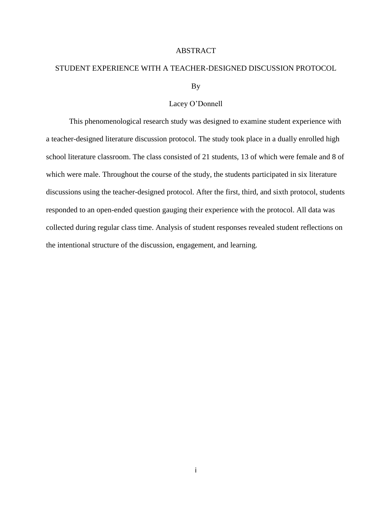#### ABSTRACT

# STUDENT EXPERIENCE WITH A TEACHER-DESIGNED DISCUSSION PROTOCOL By

#### Lacey O'Donnell

This phenomenological research study was designed to examine student experience with a teacher-designed literature discussion protocol. The study took place in a dually enrolled high school literature classroom. The class consisted of 21 students, 13 of which were female and 8 of which were male. Throughout the course of the study, the students participated in six literature discussions using the teacher-designed protocol. After the first, third, and sixth protocol, students responded to an open-ended question gauging their experience with the protocol. All data was collected during regular class time. Analysis of student responses revealed student reflections on the intentional structure of the discussion, engagement, and learning.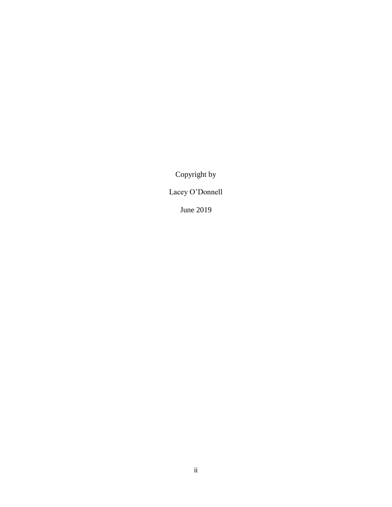Copyright by

Lacey O'Donnell

June 2019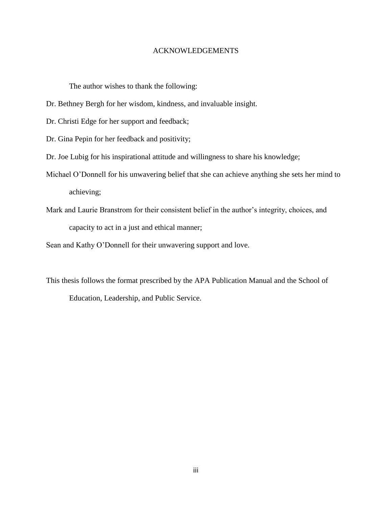#### ACKNOWLEDGEMENTS

The author wishes to thank the following:

Dr. Bethney Bergh for her wisdom, kindness, and invaluable insight.

Dr. Christi Edge for her support and feedback;

Dr. Gina Pepin for her feedback and positivity;

Dr. Joe Lubig for his inspirational attitude and willingness to share his knowledge;

- Michael O'Donnell for his unwavering belief that she can achieve anything she sets her mind to achieving;
- Mark and Laurie Branstrom for their consistent belief in the author's integrity, choices, and capacity to act in a just and ethical manner;

Sean and Kathy O'Donnell for their unwavering support and love.

This thesis follows the format prescribed by the APA Publication Manual and the School of Education, Leadership, and Public Service.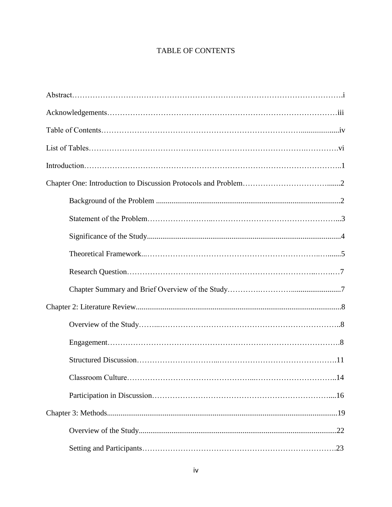# TABLE OF CONTENTS

| .14 |
|-----|
|     |
|     |
|     |
|     |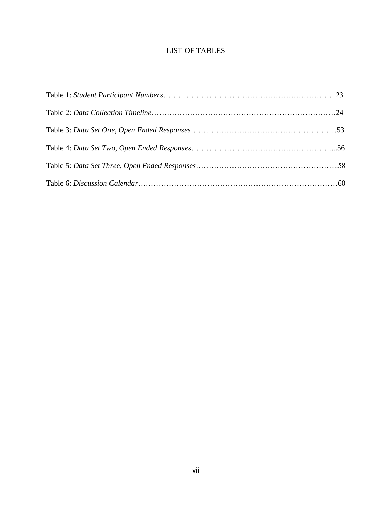## LIST OF TABLES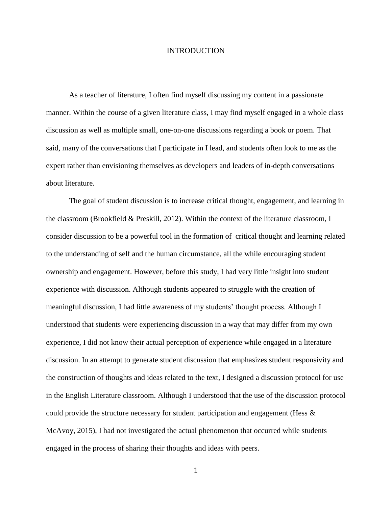#### **INTRODUCTION**

As a teacher of literature, I often find myself discussing my content in a passionate manner. Within the course of a given literature class, I may find myself engaged in a whole class discussion as well as multiple small, one-on-one discussions regarding a book or poem. That said, many of the conversations that I participate in I lead, and students often look to me as the expert rather than envisioning themselves as developers and leaders of in-depth conversations about literature.

The goal of student discussion is to increase critical thought, engagement, and learning in the classroom (Brookfield & Preskill, 2012). Within the context of the literature classroom, I consider discussion to be a powerful tool in the formation of critical thought and learning related to the understanding of self and the human circumstance, all the while encouraging student ownership and engagement. However, before this study, I had very little insight into student experience with discussion. Although students appeared to struggle with the creation of meaningful discussion, I had little awareness of my students' thought process. Although I understood that students were experiencing discussion in a way that may differ from my own experience, I did not know their actual perception of experience while engaged in a literature discussion. In an attempt to generate student discussion that emphasizes student responsivity and the construction of thoughts and ideas related to the text, I designed a discussion protocol for use in the English Literature classroom. Although I understood that the use of the discussion protocol could provide the structure necessary for student participation and engagement (Hess & McAvoy, 2015), I had not investigated the actual phenomenon that occurred while students engaged in the process of sharing their thoughts and ideas with peers.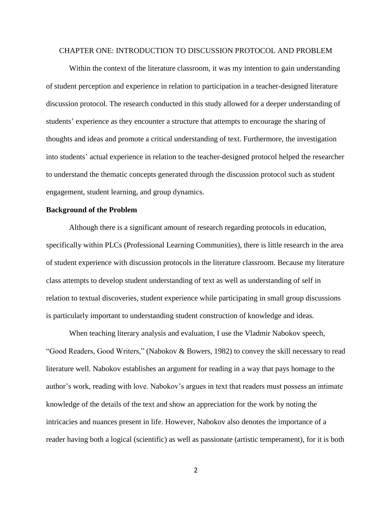#### CHAPTER ONE: INTRODUCTION TO DISCUSSION PROTOCOL AND PROBLEM

Within the context of the literature classroom, it was my intention to gain understanding of student perception and experience in relation to participation in a teacher-designed literature discussion protocol. The research conducted in this study allowed for a deeper understanding of students' experience as they encounter a structure that attempts to encourage the sharing of thoughts and ideas and promote a critical understanding of text. Furthermore, the investigation into students' actual experience in relation to the teacher-designed protocol helped the researcher to understand the thematic concepts generated through the discussion protocol such as student engagement, student learning, and group dynamics.

#### **Background of the Problem**

Although there is a significant amount of research regarding protocols in education, specifically within PLCs (Professional Learning Communities), there is little research in the area of student experience with discussion protocols in the literature classroom. Because my literature class attempts to develop student understanding of text as well as understanding of self in relation to textual discoveries, student experience while participating in small group discussions is particularly important to understanding student construction of knowledge and ideas.

When teaching literary analysis and evaluation, I use the Vladmir Nabokov speech, "Good Readers, Good Writers," (Nabokov & Bowers, 1982) to convey the skill necessary to read literature well. Nabokov establishes an argument for reading in a way that pays homage to the author's work, reading with love. Nabokov's argues in text that readers must possess an intimate knowledge of the details of the text and show an appreciation for the work by noting the intricacies and nuances present in life. However, Nabokov also denotes the importance of a reader having both a logical (scientific) as well as passionate (artistic temperament), for it is both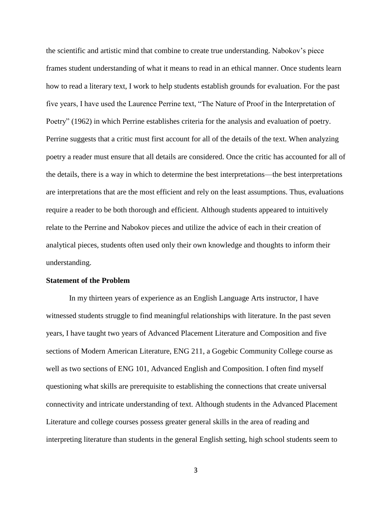the scientific and artistic mind that combine to create true understanding. Nabokov's piece frames student understanding of what it means to read in an ethical manner. Once students learn how to read a literary text, I work to help students establish grounds for evaluation. For the past five years, I have used the Laurence Perrine text, "The Nature of Proof in the Interpretation of Poetry" (1962) in which Perrine establishes criteria for the analysis and evaluation of poetry. Perrine suggests that a critic must first account for all of the details of the text. When analyzing poetry a reader must ensure that all details are considered. Once the critic has accounted for all of the details, there is a way in which to determine the best interpretations—the best interpretations are interpretations that are the most efficient and rely on the least assumptions. Thus, evaluations require a reader to be both thorough and efficient. Although students appeared to intuitively relate to the Perrine and Nabokov pieces and utilize the advice of each in their creation of analytical pieces, students often used only their own knowledge and thoughts to inform their understanding.

#### **Statement of the Problem**

In my thirteen years of experience as an English Language Arts instructor, I have witnessed students struggle to find meaningful relationships with literature. In the past seven years, I have taught two years of Advanced Placement Literature and Composition and five sections of Modern American Literature, ENG 211, a Gogebic Community College course as well as two sections of ENG 101, Advanced English and Composition. I often find myself questioning what skills are prerequisite to establishing the connections that create universal connectivity and intricate understanding of text. Although students in the Advanced Placement Literature and college courses possess greater general skills in the area of reading and interpreting literature than students in the general English setting, high school students seem to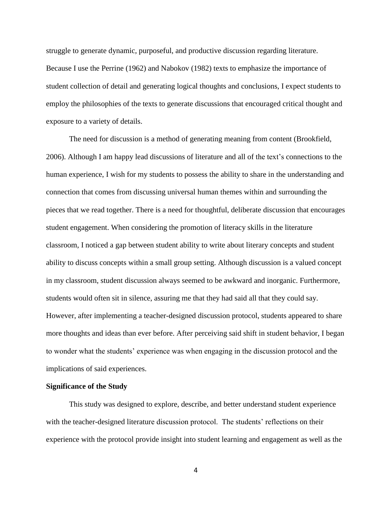struggle to generate dynamic, purposeful, and productive discussion regarding literature. Because I use the Perrine (1962) and Nabokov (1982) texts to emphasize the importance of student collection of detail and generating logical thoughts and conclusions, I expect students to employ the philosophies of the texts to generate discussions that encouraged critical thought and exposure to a variety of details.

The need for discussion is a method of generating meaning from content (Brookfield, 2006). Although I am happy lead discussions of literature and all of the text's connections to the human experience, I wish for my students to possess the ability to share in the understanding and connection that comes from discussing universal human themes within and surrounding the pieces that we read together. There is a need for thoughtful, deliberate discussion that encourages student engagement. When considering the promotion of literacy skills in the literature classroom, I noticed a gap between student ability to write about literary concepts and student ability to discuss concepts within a small group setting. Although discussion is a valued concept in my classroom, student discussion always seemed to be awkward and inorganic. Furthermore, students would often sit in silence, assuring me that they had said all that they could say. However, after implementing a teacher-designed discussion protocol, students appeared to share more thoughts and ideas than ever before. After perceiving said shift in student behavior, I began to wonder what the students' experience was when engaging in the discussion protocol and the implications of said experiences.

#### **Significance of the Study**

This study was designed to explore, describe, and better understand student experience with the teacher-designed literature discussion protocol. The students' reflections on their experience with the protocol provide insight into student learning and engagement as well as the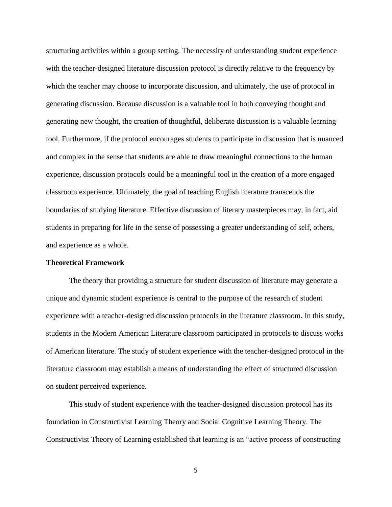structuring activities within a group setting. The necessity of understanding student experience with the teacher-designed literature discussion protocol is directly relative to the frequency by which the teacher may choose to incorporate discussion, and ultimately, the use of protocol in generating discussion. Because discussion is a valuable tool in both conveying thought and generating new thought, the creation of thoughtful, deliberate discussion is a valuable learning tool. Furthermore, if the protocol encourages students to participate in discussion that is nuanced and complex in the sense that students are able to draw meaningful connections to the human experience, discussion protocols could be a meaningful tool in the creation of a more engaged classroom experience. Ultimately, the goal of teaching English literature transcends the boundaries of studying literature. Effective discussion of literary masterpieces may, in fact, aid students in preparing for life in the sense of possessing a greater understanding of self, others, and experience as a whole.

#### **Theoretical Framework**

The theory that providing a structure for student discussion of literature may generate a unique and dynamic student experience is central to the purpose of the research of student experience with a teacher-designed discussion protocols in the literature classroom. In this study, students in the Modern American Literature classroom participated in protocols to discuss works of American literature. The study of student experience with the teacher-designed protocol in the literature classroom may establish a means of understanding the effect of structured discussion on student perceived experience.

This study of student experience with the teacher-designed discussion protocol has its foundation in Constructivist Learning Theory and Social Cognitive Learning Theory. The Constructivist Theory of Learning established that learning is an "active process of constructing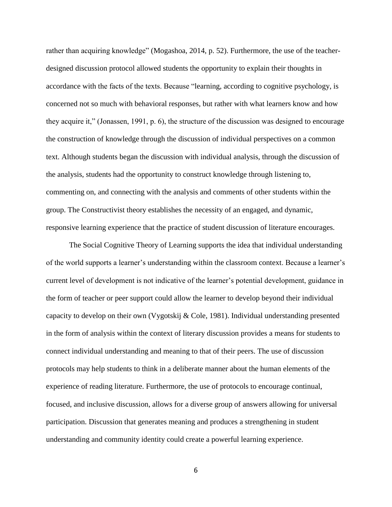rather than acquiring knowledge" (Mogashoa, 2014, p. 52). Furthermore, the use of the teacherdesigned discussion protocol allowed students the opportunity to explain their thoughts in accordance with the facts of the texts. Because "learning, according to cognitive psychology, is concerned not so much with behavioral responses, but rather with what learners know and how they acquire it," (Jonassen, 1991, p. 6), the structure of the discussion was designed to encourage the construction of knowledge through the discussion of individual perspectives on a common text. Although students began the discussion with individual analysis, through the discussion of the analysis, students had the opportunity to construct knowledge through listening to, commenting on, and connecting with the analysis and comments of other students within the group. The Constructivist theory establishes the necessity of an engaged, and dynamic, responsive learning experience that the practice of student discussion of literature encourages.

The Social Cognitive Theory of Learning supports the idea that individual understanding of the world supports a learner's understanding within the classroom context. Because a learner's current level of development is not indicative of the learner's potential development, guidance in the form of teacher or peer support could allow the learner to develop beyond their individual capacity to develop on their own (Vygotskij & Cole, 1981). Individual understanding presented in the form of analysis within the context of literary discussion provides a means for students to connect individual understanding and meaning to that of their peers. The use of discussion protocols may help students to think in a deliberate manner about the human elements of the experience of reading literature. Furthermore, the use of protocols to encourage continual, focused, and inclusive discussion, allows for a diverse group of answers allowing for universal participation. Discussion that generates meaning and produces a strengthening in student understanding and community identity could create a powerful learning experience.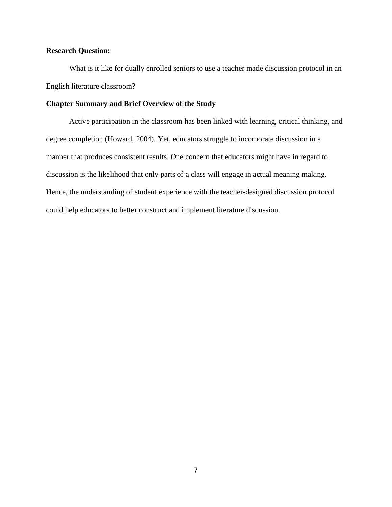#### **Research Question:**

What is it like for dually enrolled seniors to use a teacher made discussion protocol in an English literature classroom?

#### **Chapter Summary and Brief Overview of the Study**

Active participation in the classroom has been linked with learning, critical thinking, and degree completion (Howard, 2004). Yet, educators struggle to incorporate discussion in a manner that produces consistent results. One concern that educators might have in regard to discussion is the likelihood that only parts of a class will engage in actual meaning making. Hence, the understanding of student experience with the teacher-designed discussion protocol could help educators to better construct and implement literature discussion.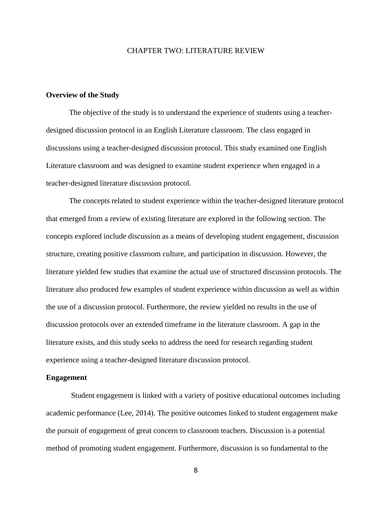#### CHAPTER TWO: LITERATURE REVIEW

#### **Overview of the Study**

The objective of the study is to understand the experience of students using a teacherdesigned discussion protocol in an English Literature classroom. The class engaged in discussions using a teacher-designed discussion protocol. This study examined one English Literature classroom and was designed to examine student experience when engaged in a teacher-designed literature discussion protocol.

The concepts related to student experience within the teacher-designed literature protocol that emerged from a review of existing literature are explored in the following section. The concepts explored include discussion as a means of developing student engagement, discussion structure, creating positive classroom culture, and participation in discussion. However, the literature yielded few studies that examine the actual use of structured discussion protocols. The literature also produced few examples of student experience within discussion as well as within the use of a discussion protocol. Furthermore, the review yielded no results in the use of discussion protocols over an extended timeframe in the literature classroom. A gap in the literature exists, and this study seeks to address the need for research regarding student experience using a teacher-designed literature discussion protocol.

#### **Engagement**

Student engagement is linked with a variety of positive educational outcomes including academic performance (Lee, 2014). The positive outcomes linked to student engagement make the pursuit of engagement of great concern to classroom teachers. Discussion is a potential method of promoting student engagement. Furthermore, discussion is so fundamental to the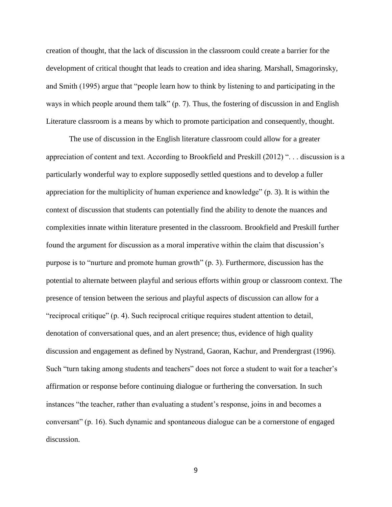creation of thought, that the lack of discussion in the classroom could create a barrier for the development of critical thought that leads to creation and idea sharing. Marshall, Smagorinsky, and Smith (1995) argue that "people learn how to think by listening to and participating in the ways in which people around them talk" (p. 7). Thus, the fostering of discussion in and English Literature classroom is a means by which to promote participation and consequently, thought.

The use of discussion in the English literature classroom could allow for a greater appreciation of content and text. According to Brookfield and Preskill (2012) ". . . discussion is a particularly wonderful way to explore supposedly settled questions and to develop a fuller appreciation for the multiplicity of human experience and knowledge" (p. 3). It is within the context of discussion that students can potentially find the ability to denote the nuances and complexities innate within literature presented in the classroom. Brookfield and Preskill further found the argument for discussion as a moral imperative within the claim that discussion's purpose is to "nurture and promote human growth" (p. 3). Furthermore, discussion has the potential to alternate between playful and serious efforts within group or classroom context. The presence of tension between the serious and playful aspects of discussion can allow for a "reciprocal critique" (p. 4). Such reciprocal critique requires student attention to detail, denotation of conversational ques, and an alert presence; thus, evidence of high quality discussion and engagement as defined by Nystrand, Gaoran, Kachur, and Prendergrast (1996). Such "turn taking among students and teachers" does not force a student to wait for a teacher's affirmation or response before continuing dialogue or furthering the conversation. In such instances "the teacher, rather than evaluating a student's response, joins in and becomes a conversant" (p. 16). Such dynamic and spontaneous dialogue can be a cornerstone of engaged discussion.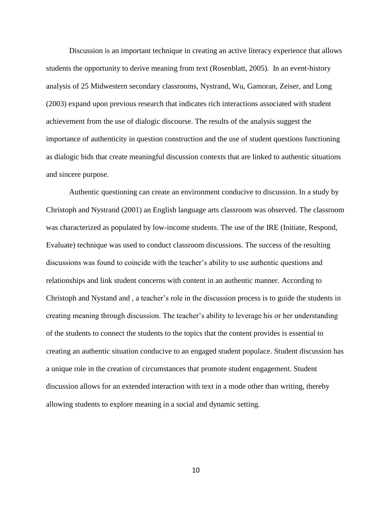Discussion is an important technique in creating an active literacy experience that allows students the opportunity to derive meaning from text (Rosenblatt, 2005). In an event-history analysis of 25 Midwestern secondary classrooms, Nystrand, Wu, Gamoran, Zeiser, and Long (2003) expand upon previous research that indicates rich interactions associated with student achievement from the use of dialogic discourse. The results of the analysis suggest the importance of authenticity in question construction and the use of student questions functioning as dialogic bids that create meaningful discussion contexts that are linked to authentic situations and sincere purpose.

Authentic questioning can create an environment conducive to discussion. In a study by Christoph and Nystrand (2001) an English language arts classroom was observed. The classroom was characterized as populated by low-income students. The use of the IRE (Initiate, Respond, Evaluate) technique was used to conduct classroom discussions. The success of the resulting discussions was found to coincide with the teacher's ability to use authentic questions and relationships and link student concerns with content in an authentic manner. According to Christoph and Nystand and , a teacher's role in the discussion process is to guide the students in creating meaning through discussion. The teacher's ability to leverage his or her understanding of the students to connect the students to the topics that the content provides is essential to creating an authentic situation conducive to an engaged student populace. Student discussion has a unique role in the creation of circumstances that promote student engagement. Student discussion allows for an extended interaction with text in a mode other than writing, thereby allowing students to explore meaning in a social and dynamic setting.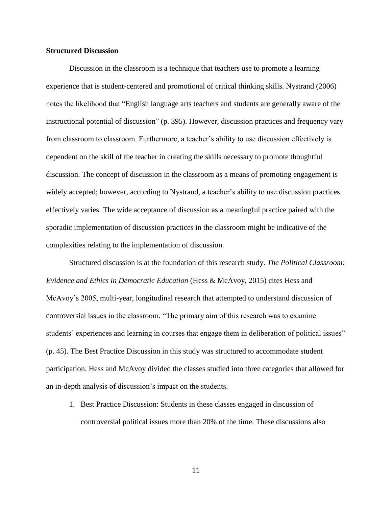#### **Structured Discussion**

Discussion in the classroom is a technique that teachers use to promote a learning experience that is student-centered and promotional of critical thinking skills. Nystrand (2006) notes the likelihood that "English language arts teachers and students are generally aware of the instructional potential of discussion" (p. 395). However, discussion practices and frequency vary from classroom to classroom. Furthermore, a teacher's ability to use discussion effectively is dependent on the skill of the teacher in creating the skills necessary to promote thoughtful discussion. The concept of discussion in the classroom as a means of promoting engagement is widely accepted; however, according to Nystrand, a teacher's ability to use discussion practices effectively varies. The wide acceptance of discussion as a meaningful practice paired with the sporadic implementation of discussion practices in the classroom might be indicative of the complexities relating to the implementation of discussion.

Structured discussion is at the foundation of this research study. *The Political Classroom: Evidence and Ethics in Democratic Education* (Hess & McAvoy, 2015) cites Hess and McAvoy's 2005, multi-year, longitudinal research that attempted to understand discussion of controversial issues in the classroom. "The primary aim of this research was to examine students' experiences and learning in courses that engage them in deliberation of political issues" (p. 45). The Best Practice Discussion in this study was structured to accommodate student participation. Hess and McAvoy divided the classes studied into three categories that allowed for an in-depth analysis of discussion's impact on the students.

1. Best Practice Discussion: Students in these classes engaged in discussion of controversial political issues more than 20% of the time. These discussions also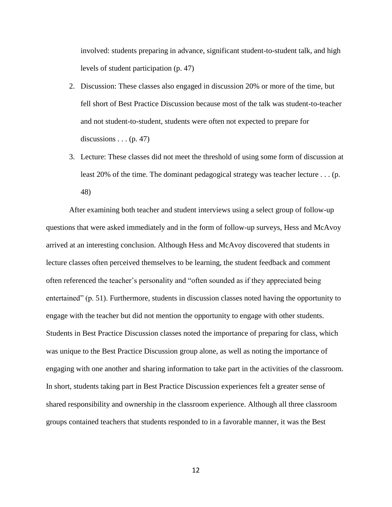involved: students preparing in advance, significant student-to-student talk, and high levels of student participation (p. 47)

- 2. Discussion: These classes also engaged in discussion 20% or more of the time, but fell short of Best Practice Discussion because most of the talk was student-to-teacher and not student-to-student, students were often not expected to prepare for discussions  $\dots$  (p. 47)
- 3. Lecture: These classes did not meet the threshold of using some form of discussion at least 20% of the time. The dominant pedagogical strategy was teacher lecture . . . (p. 48)

After examining both teacher and student interviews using a select group of follow-up questions that were asked immediately and in the form of follow-up surveys, Hess and McAvoy arrived at an interesting conclusion. Although Hess and McAvoy discovered that students in lecture classes often perceived themselves to be learning, the student feedback and comment often referenced the teacher's personality and "often sounded as if they appreciated being entertained" (p. 51). Furthermore, students in discussion classes noted having the opportunity to engage with the teacher but did not mention the opportunity to engage with other students. Students in Best Practice Discussion classes noted the importance of preparing for class, which was unique to the Best Practice Discussion group alone, as well as noting the importance of engaging with one another and sharing information to take part in the activities of the classroom. In short, students taking part in Best Practice Discussion experiences felt a greater sense of shared responsibility and ownership in the classroom experience. Although all three classroom groups contained teachers that students responded to in a favorable manner, it was the Best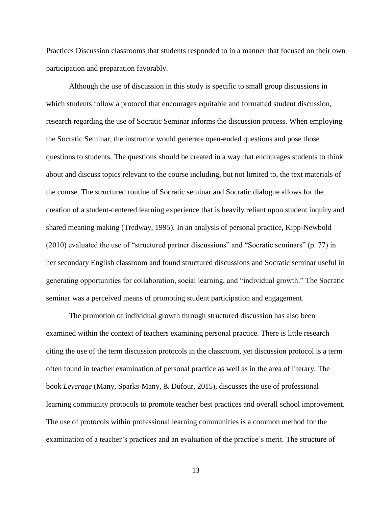Practices Discussion classrooms that students responded to in a manner that focused on their own participation and preparation favorably.

Although the use of discussion in this study is specific to small group discussions in which students follow a protocol that encourages equitable and formatted student discussion, research regarding the use of Socratic Seminar informs the discussion process. When employing the Socratic Seminar, the instructor would generate open-ended questions and pose those questions to students. The questions should be created in a way that encourages students to think about and discuss topics relevant to the course including, but not limited to, the text materials of the course. The structured routine of Socratic seminar and Socratic dialogue allows for the creation of a student-centered learning experience that is heavily reliant upon student inquiry and shared meaning making (Tredway, 1995). In an analysis of personal practice, Kipp-Newbold (2010) evaluated the use of "structured partner discussions" and "Socratic seminars" (p. 77) in her secondary English classroom and found structured discussions and Socratic seminar useful in generating opportunities for collaboration, social learning, and "individual growth." The Socratic seminar was a perceived means of promoting student participation and engagement.

The promotion of individual growth through structured discussion has also been examined within the context of teachers examining personal practice. There is little research citing the use of the term discussion protocols in the classroom, yet discussion protocol is a term often found in teacher examination of personal practice as well as in the area of literary. The book *Leverage* (Many, Sparks-Many, & Dufour, 2015), discusses the use of professional learning community protocols to promote teacher best practices and overall school improvement. The use of protocols within professional learning communities is a common method for the examination of a teacher's practices and an evaluation of the practice's merit. The structure of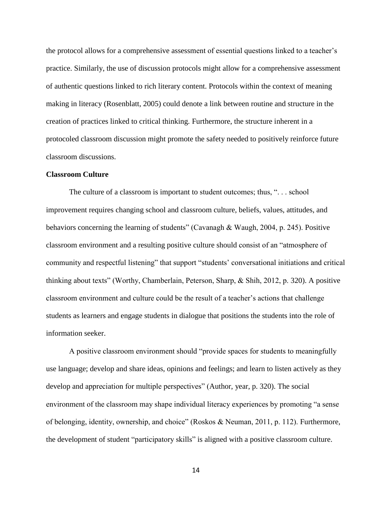the protocol allows for a comprehensive assessment of essential questions linked to a teacher's practice. Similarly, the use of discussion protocols might allow for a comprehensive assessment of authentic questions linked to rich literary content. Protocols within the context of meaning making in literacy (Rosenblatt, 2005) could denote a link between routine and structure in the creation of practices linked to critical thinking. Furthermore, the structure inherent in a protocoled classroom discussion might promote the safety needed to positively reinforce future classroom discussions.

#### **Classroom Culture**

The culture of a classroom is important to student outcomes; thus, ". . . school improvement requires changing school and classroom culture, beliefs, values, attitudes, and behaviors concerning the learning of students" (Cavanagh & Waugh, 2004, p. 245). Positive classroom environment and a resulting positive culture should consist of an "atmosphere of community and respectful listening" that support "students' conversational initiations and critical thinking about texts" (Worthy, Chamberlain, Peterson, Sharp, & Shih, 2012, p. 320). A positive classroom environment and culture could be the result of a teacher's actions that challenge students as learners and engage students in dialogue that positions the students into the role of information seeker.

A positive classroom environment should "provide spaces for students to meaningfully use language; develop and share ideas, opinions and feelings; and learn to listen actively as they develop and appreciation for multiple perspectives" (Author, year, p. 320). The social environment of the classroom may shape individual literacy experiences by promoting "a sense of belonging, identity, ownership, and choice" (Roskos & Neuman, 2011, p. 112). Furthermore, the development of student "participatory skills" is aligned with a positive classroom culture.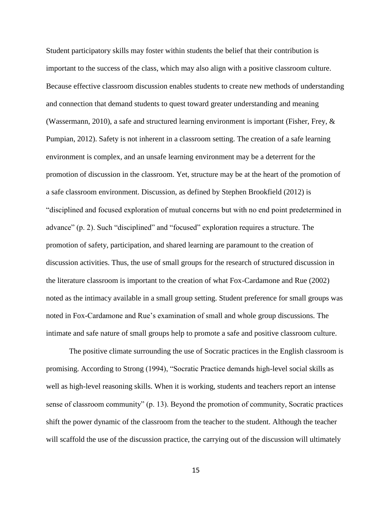Student participatory skills may foster within students the belief that their contribution is important to the success of the class, which may also align with a positive classroom culture. Because effective classroom discussion enables students to create new methods of understanding and connection that demand students to quest toward greater understanding and meaning (Wassermann, 2010), a safe and structured learning environment is important (Fisher, Frey, & Pumpian, 2012). Safety is not inherent in a classroom setting. The creation of a safe learning environment is complex, and an unsafe learning environment may be a deterrent for the promotion of discussion in the classroom. Yet, structure may be at the heart of the promotion of a safe classroom environment. Discussion, as defined by Stephen Brookfield (2012) is "disciplined and focused exploration of mutual concerns but with no end point predetermined in advance" (p. 2). Such "disciplined" and "focused" exploration requires a structure. The promotion of safety, participation, and shared learning are paramount to the creation of discussion activities. Thus, the use of small groups for the research of structured discussion in the literature classroom is important to the creation of what Fox-Cardamone and Rue (2002) noted as the intimacy available in a small group setting. Student preference for small groups was noted in Fox-Cardamone and Rue's examination of small and whole group discussions. The intimate and safe nature of small groups help to promote a safe and positive classroom culture.

The positive climate surrounding the use of Socratic practices in the English classroom is promising. According to Strong (1994), "Socratic Practice demands high-level social skills as well as high-level reasoning skills. When it is working, students and teachers report an intense sense of classroom community" (p. 13). Beyond the promotion of community, Socratic practices shift the power dynamic of the classroom from the teacher to the student. Although the teacher will scaffold the use of the discussion practice, the carrying out of the discussion will ultimately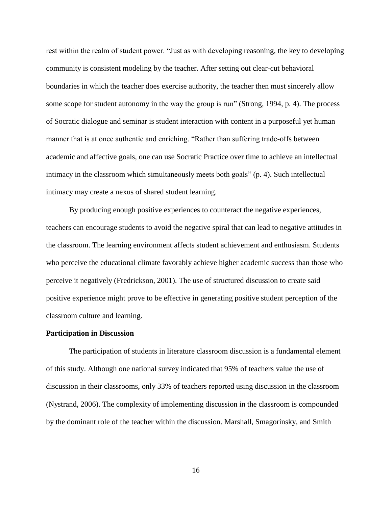rest within the realm of student power. "Just as with developing reasoning, the key to developing community is consistent modeling by the teacher. After setting out clear-cut behavioral boundaries in which the teacher does exercise authority, the teacher then must sincerely allow some scope for student autonomy in the way the group is run" (Strong, 1994, p. 4). The process of Socratic dialogue and seminar is student interaction with content in a purposeful yet human manner that is at once authentic and enriching. "Rather than suffering trade-offs between academic and affective goals, one can use Socratic Practice over time to achieve an intellectual intimacy in the classroom which simultaneously meets both goals" (p. 4). Such intellectual intimacy may create a nexus of shared student learning.

By producing enough positive experiences to counteract the negative experiences, teachers can encourage students to avoid the negative spiral that can lead to negative attitudes in the classroom. The learning environment affects student achievement and enthusiasm. Students who perceive the educational climate favorably achieve higher academic success than those who perceive it negatively (Fredrickson, 2001). The use of structured discussion to create said positive experience might prove to be effective in generating positive student perception of the classroom culture and learning.

#### **Participation in Discussion**

The participation of students in literature classroom discussion is a fundamental element of this study. Although one national survey indicated that 95% of teachers value the use of discussion in their classrooms, only 33% of teachers reported using discussion in the classroom (Nystrand, 2006). The complexity of implementing discussion in the classroom is compounded by the dominant role of the teacher within the discussion. Marshall, Smagorinsky, and Smith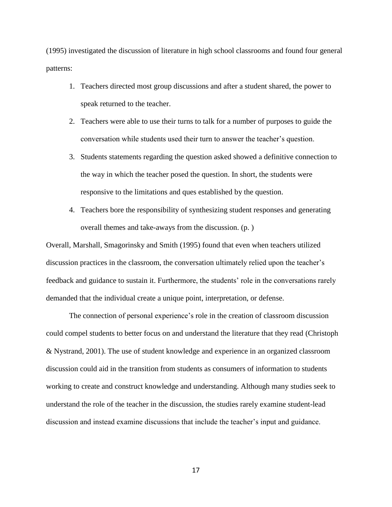(1995) investigated the discussion of literature in high school classrooms and found four general patterns:

- 1. Teachers directed most group discussions and after a student shared, the power to speak returned to the teacher.
- 2. Teachers were able to use their turns to talk for a number of purposes to guide the conversation while students used their turn to answer the teacher's question.
- 3. Students statements regarding the question asked showed a definitive connection to the way in which the teacher posed the question. In short, the students were responsive to the limitations and ques established by the question.
- 4. Teachers bore the responsibility of synthesizing student responses and generating overall themes and take-aways from the discussion. (p. )

Overall, Marshall, Smagorinsky and Smith (1995) found that even when teachers utilized discussion practices in the classroom, the conversation ultimately relied upon the teacher's feedback and guidance to sustain it. Furthermore, the students' role in the conversations rarely demanded that the individual create a unique point, interpretation, or defense.

The connection of personal experience's role in the creation of classroom discussion could compel students to better focus on and understand the literature that they read (Christoph & Nystrand, 2001). The use of student knowledge and experience in an organized classroom discussion could aid in the transition from students as consumers of information to students working to create and construct knowledge and understanding. Although many studies seek to understand the role of the teacher in the discussion, the studies rarely examine student-lead discussion and instead examine discussions that include the teacher's input and guidance.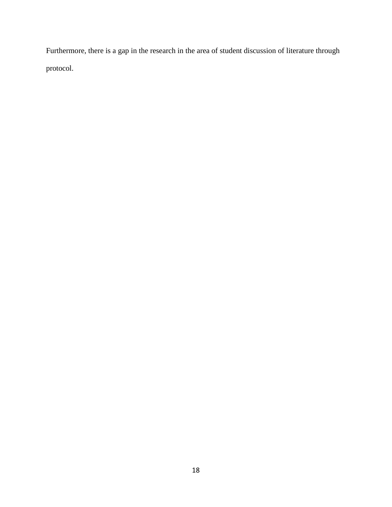Furthermore, there is a gap in the research in the area of student discussion of literature through protocol.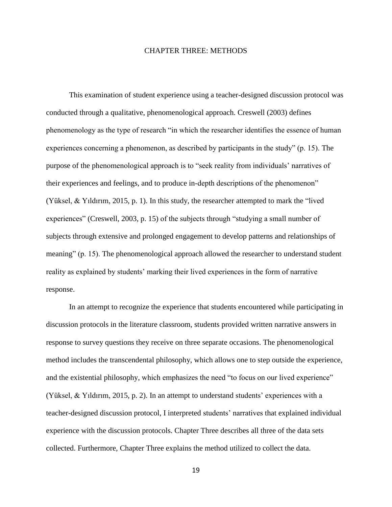#### CHAPTER THREE: METHODS

This examination of student experience using a teacher-designed discussion protocol was conducted through a qualitative, phenomenological approach. Creswell (2003) defines phenomenology as the type of research "in which the researcher identifies the essence of human experiences concerning a phenomenon, as described by participants in the study" (p. 15). The purpose of the phenomenological approach is to "seek reality from individuals' narratives of their experiences and feelings, and to produce in-depth descriptions of the phenomenon" (Yüksel, & Yıldırım, 2015, p. 1). In this study, the researcher attempted to mark the "lived experiences" (Creswell, 2003, p. 15) of the subjects through "studying a small number of subjects through extensive and prolonged engagement to develop patterns and relationships of meaning" (p. 15). The phenomenological approach allowed the researcher to understand student reality as explained by students' marking their lived experiences in the form of narrative response.

In an attempt to recognize the experience that students encountered while participating in discussion protocols in the literature classroom, students provided written narrative answers in response to survey questions they receive on three separate occasions. The phenomenological method includes the transcendental philosophy, which allows one to step outside the experience, and the existential philosophy, which emphasizes the need "to focus on our lived experience" (Yüksel, & Yıldırım, 2015, p. 2). In an attempt to understand students' experiences with a teacher-designed discussion protocol, I interpreted students' narratives that explained individual experience with the discussion protocols. Chapter Three describes all three of the data sets collected. Furthermore, Chapter Three explains the method utilized to collect the data.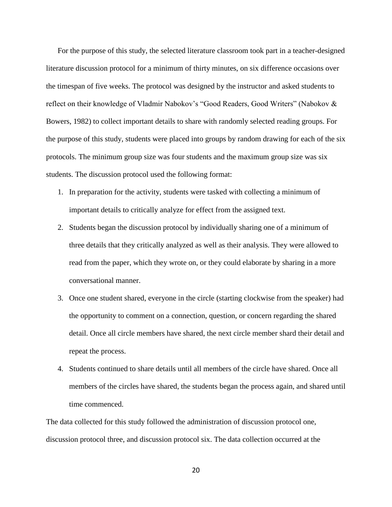For the purpose of this study, the selected literature classroom took part in a teacher-designed literature discussion protocol for a minimum of thirty minutes, on six difference occasions over the timespan of five weeks. The protocol was designed by the instructor and asked students to reflect on their knowledge of Vladmir Nabokov's "Good Readers, Good Writers" (Nabokov & Bowers, 1982) to collect important details to share with randomly selected reading groups. For the purpose of this study, students were placed into groups by random drawing for each of the six protocols. The minimum group size was four students and the maximum group size was six students. The discussion protocol used the following format:

- 1. In preparation for the activity, students were tasked with collecting a minimum of important details to critically analyze for effect from the assigned text.
- 2. Students began the discussion protocol by individually sharing one of a minimum of three details that they critically analyzed as well as their analysis. They were allowed to read from the paper, which they wrote on, or they could elaborate by sharing in a more conversational manner.
- 3. Once one student shared, everyone in the circle (starting clockwise from the speaker) had the opportunity to comment on a connection, question, or concern regarding the shared detail. Once all circle members have shared, the next circle member shard their detail and repeat the process.
- 4. Students continued to share details until all members of the circle have shared. Once all members of the circles have shared, the students began the process again, and shared until time commenced.

The data collected for this study followed the administration of discussion protocol one, discussion protocol three, and discussion protocol six. The data collection occurred at the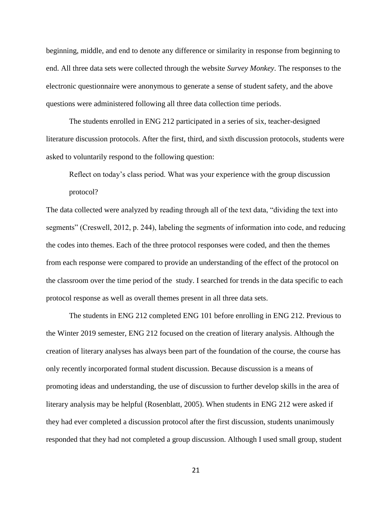beginning, middle, and end to denote any difference or similarity in response from beginning to end. All three data sets were collected through the website *Survey Monkey*. The responses to the electronic questionnaire were anonymous to generate a sense of student safety, and the above questions were administered following all three data collection time periods.

The students enrolled in ENG 212 participated in a series of six, teacher-designed literature discussion protocols. After the first, third, and sixth discussion protocols, students were asked to voluntarily respond to the following question:

Reflect on today's class period. What was your experience with the group discussion protocol?

The data collected were analyzed by reading through all of the text data, "dividing the text into segments" (Creswell, 2012, p. 244), labeling the segments of information into code, and reducing the codes into themes. Each of the three protocol responses were coded, and then the themes from each response were compared to provide an understanding of the effect of the protocol on the classroom over the time period of the study. I searched for trends in the data specific to each protocol response as well as overall themes present in all three data sets.

The students in ENG 212 completed ENG 101 before enrolling in ENG 212. Previous to the Winter 2019 semester, ENG 212 focused on the creation of literary analysis. Although the creation of literary analyses has always been part of the foundation of the course, the course has only recently incorporated formal student discussion. Because discussion is a means of promoting ideas and understanding, the use of discussion to further develop skills in the area of literary analysis may be helpful (Rosenblatt, 2005). When students in ENG 212 were asked if they had ever completed a discussion protocol after the first discussion, students unanimously responded that they had not completed a group discussion. Although I used small group, student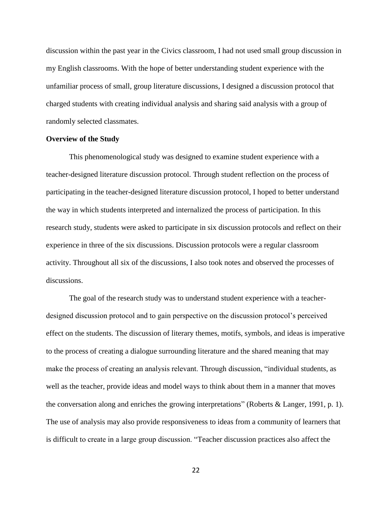discussion within the past year in the Civics classroom, I had not used small group discussion in my English classrooms. With the hope of better understanding student experience with the unfamiliar process of small, group literature discussions, I designed a discussion protocol that charged students with creating individual analysis and sharing said analysis with a group of randomly selected classmates.

#### **Overview of the Study**

This phenomenological study was designed to examine student experience with a teacher-designed literature discussion protocol. Through student reflection on the process of participating in the teacher-designed literature discussion protocol, I hoped to better understand the way in which students interpreted and internalized the process of participation. In this research study, students were asked to participate in six discussion protocols and reflect on their experience in three of the six discussions. Discussion protocols were a regular classroom activity. Throughout all six of the discussions, I also took notes and observed the processes of discussions.

The goal of the research study was to understand student experience with a teacherdesigned discussion protocol and to gain perspective on the discussion protocol's perceived effect on the students. The discussion of literary themes, motifs, symbols, and ideas is imperative to the process of creating a dialogue surrounding literature and the shared meaning that may make the process of creating an analysis relevant. Through discussion, "individual students, as well as the teacher, provide ideas and model ways to think about them in a manner that moves the conversation along and enriches the growing interpretations" (Roberts & Langer, 1991, p. 1). The use of analysis may also provide responsiveness to ideas from a community of learners that is difficult to create in a large group discussion. "Teacher discussion practices also affect the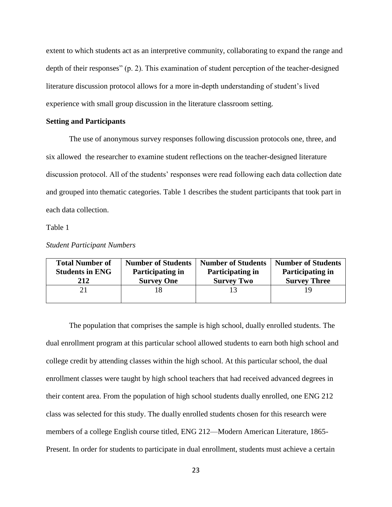extent to which students act as an interpretive community, collaborating to expand the range and depth of their responses" (p. 2). This examination of student perception of the teacher-designed literature discussion protocol allows for a more in-depth understanding of student's lived experience with small group discussion in the literature classroom setting.

#### **Setting and Participants**

The use of anonymous survey responses following discussion protocols one, three, and six allowed the researcher to examine student reflections on the teacher-designed literature discussion protocol. All of the students' responses were read following each data collection date and grouped into thematic categories. Table 1 describes the student participants that took part in each data collection.

Table 1

#### *Student Participant Numbers*

| <b>Total Number of</b> | <b>Number of Students</b> | <b>Number of Students</b> | <b>Number of Students</b> |
|------------------------|---------------------------|---------------------------|---------------------------|
| <b>Students in ENG</b> | Participating in          | Participating in          | Participating in          |
| 212                    | <b>Survey One</b>         | <b>Survey Two</b>         | <b>Survey Three</b>       |
|                        |                           |                           |                           |

The population that comprises the sample is high school, dually enrolled students. The dual enrollment program at this particular school allowed students to earn both high school and college credit by attending classes within the high school. At this particular school, the dual enrollment classes were taught by high school teachers that had received advanced degrees in their content area. From the population of high school students dually enrolled, one ENG 212 class was selected for this study. The dually enrolled students chosen for this research were members of a college English course titled, ENG 212—Modern American Literature, 1865- Present. In order for students to participate in dual enrollment, students must achieve a certain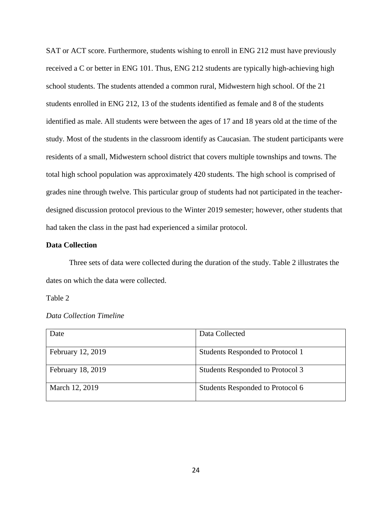SAT or ACT score. Furthermore, students wishing to enroll in ENG 212 must have previously received a C or better in ENG 101. Thus, ENG 212 students are typically high-achieving high school students. The students attended a common rural, Midwestern high school. Of the 21 students enrolled in ENG 212, 13 of the students identified as female and 8 of the students identified as male. All students were between the ages of 17 and 18 years old at the time of the study. Most of the students in the classroom identify as Caucasian. The student participants were residents of a small, Midwestern school district that covers multiple townships and towns. The total high school population was approximately 420 students. The high school is comprised of grades nine through twelve. This particular group of students had not participated in the teacherdesigned discussion protocol previous to the Winter 2019 semester; however, other students that had taken the class in the past had experienced a similar protocol.

#### **Data Collection**

Three sets of data were collected during the duration of the study. Table 2 illustrates the dates on which the data were collected.

Table 2

|  |  |  |  | Data Collection Timeline |
|--|--|--|--|--------------------------|
|--|--|--|--|--------------------------|

| Date              | Data Collected                   |
|-------------------|----------------------------------|
| February 12, 2019 | Students Responded to Protocol 1 |
| February 18, 2019 | Students Responded to Protocol 3 |
| March 12, 2019    | Students Responded to Protocol 6 |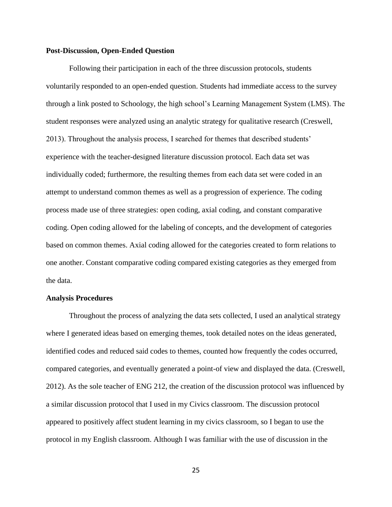#### **Post-Discussion, Open-Ended Question**

Following their participation in each of the three discussion protocols, students voluntarily responded to an open-ended question. Students had immediate access to the survey through a link posted to Schoology, the high school's Learning Management System (LMS). The student responses were analyzed using an analytic strategy for qualitative research (Creswell, 2013). Throughout the analysis process, I searched for themes that described students' experience with the teacher-designed literature discussion protocol. Each data set was individually coded; furthermore, the resulting themes from each data set were coded in an attempt to understand common themes as well as a progression of experience. The coding process made use of three strategies: open coding, axial coding, and constant comparative coding. Open coding allowed for the labeling of concepts, and the development of categories based on common themes. Axial coding allowed for the categories created to form relations to one another. Constant comparative coding compared existing categories as they emerged from the data.

#### **Analysis Procedures**

Throughout the process of analyzing the data sets collected, I used an analytical strategy where I generated ideas based on emerging themes, took detailed notes on the ideas generated, identified codes and reduced said codes to themes, counted how frequently the codes occurred, compared categories, and eventually generated a point-of view and displayed the data. (Creswell, 2012). As the sole teacher of ENG 212, the creation of the discussion protocol was influenced by a similar discussion protocol that I used in my Civics classroom. The discussion protocol appeared to positively affect student learning in my civics classroom, so I began to use the protocol in my English classroom. Although I was familiar with the use of discussion in the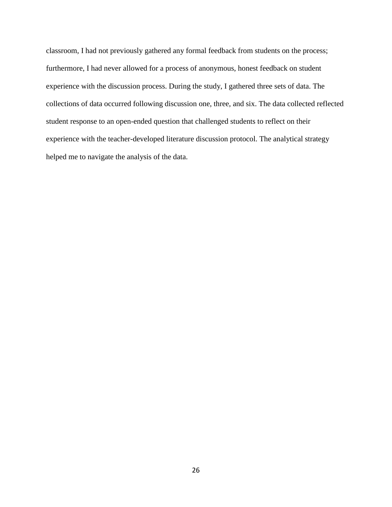classroom, I had not previously gathered any formal feedback from students on the process; furthermore, I had never allowed for a process of anonymous, honest feedback on student experience with the discussion process. During the study, I gathered three sets of data. The collections of data occurred following discussion one, three, and six. The data collected reflected student response to an open-ended question that challenged students to reflect on their experience with the teacher-developed literature discussion protocol. The analytical strategy helped me to navigate the analysis of the data.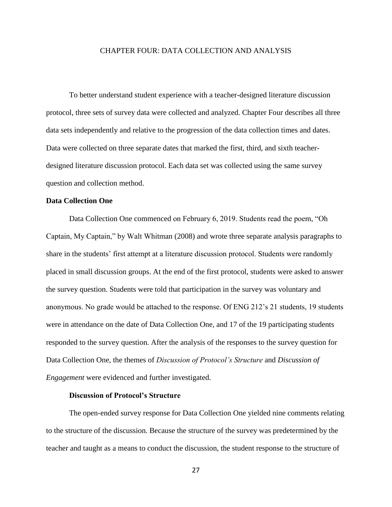#### CHAPTER FOUR: DATA COLLECTION AND ANALYSIS

To better understand student experience with a teacher-designed literature discussion protocol, three sets of survey data were collected and analyzed. Chapter Four describes all three data sets independently and relative to the progression of the data collection times and dates. Data were collected on three separate dates that marked the first, third, and sixth teacherdesigned literature discussion protocol. Each data set was collected using the same survey question and collection method.

### **Data Collection One**

Data Collection One commenced on February 6, 2019. Students read the poem, "Oh Captain, My Captain," by Walt Whitman (2008) and wrote three separate analysis paragraphs to share in the students' first attempt at a literature discussion protocol. Students were randomly placed in small discussion groups. At the end of the first protocol, students were asked to answer the survey question. Students were told that participation in the survey was voluntary and anonymous. No grade would be attached to the response. Of ENG 212's 21 students, 19 students were in attendance on the date of Data Collection One, and 17 of the 19 participating students responded to the survey question. After the analysis of the responses to the survey question for Data Collection One, the themes of *Discussion of Protocol's Structure* and *Discussion of Engagement* were evidenced and further investigated.

### **Discussion of Protocol's Structure**

The open-ended survey response for Data Collection One yielded nine comments relating to the structure of the discussion. Because the structure of the survey was predetermined by the teacher and taught as a means to conduct the discussion, the student response to the structure of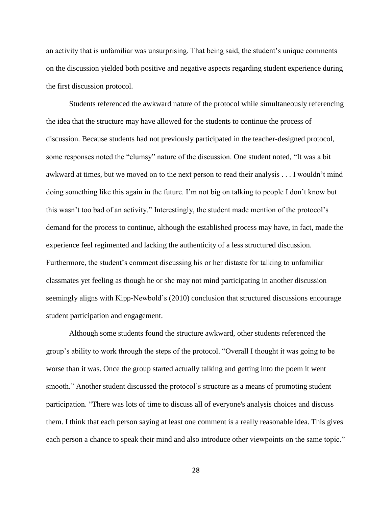an activity that is unfamiliar was unsurprising. That being said, the student's unique comments on the discussion yielded both positive and negative aspects regarding student experience during the first discussion protocol.

Students referenced the awkward nature of the protocol while simultaneously referencing the idea that the structure may have allowed for the students to continue the process of discussion. Because students had not previously participated in the teacher-designed protocol, some responses noted the "clumsy" nature of the discussion. One student noted, "It was a bit awkward at times, but we moved on to the next person to read their analysis . . . I wouldn't mind doing something like this again in the future. I'm not big on talking to people I don't know but this wasn't too bad of an activity." Interestingly, the student made mention of the protocol's demand for the process to continue, although the established process may have, in fact, made the experience feel regimented and lacking the authenticity of a less structured discussion. Furthermore, the student's comment discussing his or her distaste for talking to unfamiliar classmates yet feeling as though he or she may not mind participating in another discussion seemingly aligns with Kipp-Newbold's (2010) conclusion that structured discussions encourage student participation and engagement.

Although some students found the structure awkward, other students referenced the group's ability to work through the steps of the protocol. "Overall I thought it was going to be worse than it was. Once the group started actually talking and getting into the poem it went smooth." Another student discussed the protocol's structure as a means of promoting student participation. "There was lots of time to discuss all of everyone's analysis choices and discuss them. I think that each person saying at least one comment is a really reasonable idea. This gives each person a chance to speak their mind and also introduce other viewpoints on the same topic."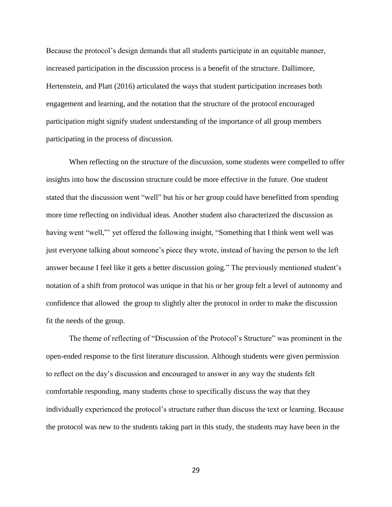Because the protocol's design demands that all students participate in an equitable manner, increased participation in the discussion process is a benefit of the structure. Dallimore, Hertenstein, and Platt (2016) articulated the ways that student participation increases both engagement and learning, and the notation that the structure of the protocol encouraged participation might signify student understanding of the importance of all group members participating in the process of discussion.

When reflecting on the structure of the discussion, some students were compelled to offer insights into how the discussion structure could be more effective in the future. One student stated that the discussion went "well" but his or her group could have benefitted from spending more time reflecting on individual ideas. Another student also characterized the discussion as having went "well," yet offered the following insight, "Something that I think went well was just everyone talking about someone's piece they wrote, instead of having the person to the left answer because I feel like it gets a better discussion going." The previously mentioned student's notation of a shift from protocol was unique in that his or her group felt a level of autonomy and confidence that allowed the group to slightly alter the protocol in order to make the discussion fit the needs of the group.

The theme of reflecting of "Discussion of the Protocol's Structure" was prominent in the open-ended response to the first literature discussion. Although students were given permission to reflect on the day's discussion and encouraged to answer in any way the students felt comfortable responding, many students chose to specifically discuss the way that they individually experienced the protocol's structure rather than discuss the text or learning. Because the protocol was new to the students taking part in this study, the students may have been in the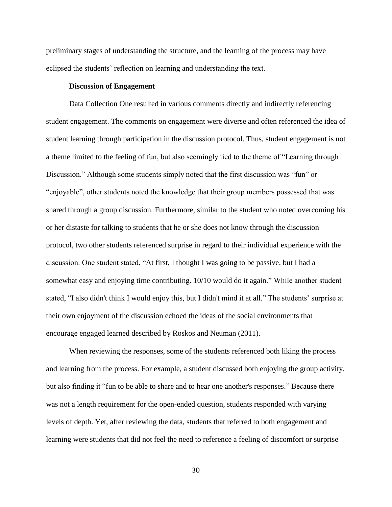preliminary stages of understanding the structure, and the learning of the process may have eclipsed the students' reflection on learning and understanding the text.

#### **Discussion of Engagement**

Data Collection One resulted in various comments directly and indirectly referencing student engagement. The comments on engagement were diverse and often referenced the idea of student learning through participation in the discussion protocol. Thus, student engagement is not a theme limited to the feeling of fun, but also seemingly tied to the theme of "Learning through Discussion." Although some students simply noted that the first discussion was "fun" or "enjoyable", other students noted the knowledge that their group members possessed that was shared through a group discussion. Furthermore, similar to the student who noted overcoming his or her distaste for talking to students that he or she does not know through the discussion protocol, two other students referenced surprise in regard to their individual experience with the discussion. One student stated, "At first, I thought I was going to be passive, but I had a somewhat easy and enjoying time contributing. 10/10 would do it again." While another student stated, "I also didn't think I would enjoy this, but I didn't mind it at all." The students' surprise at their own enjoyment of the discussion echoed the ideas of the social environments that encourage engaged learned described by Roskos and Neuman (2011).

When reviewing the responses, some of the students referenced both liking the process and learning from the process. For example, a student discussed both enjoying the group activity, but also finding it "fun to be able to share and to hear one another's responses." Because there was not a length requirement for the open-ended question, students responded with varying levels of depth. Yet, after reviewing the data, students that referred to both engagement and learning were students that did not feel the need to reference a feeling of discomfort or surprise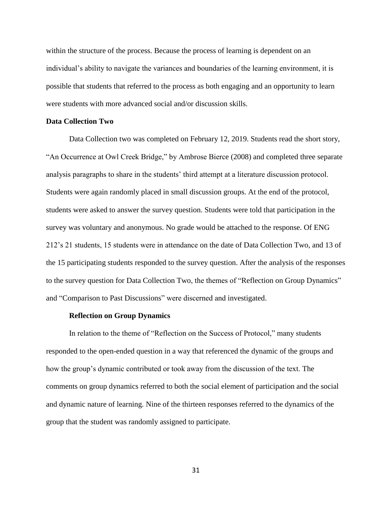within the structure of the process. Because the process of learning is dependent on an individual's ability to navigate the variances and boundaries of the learning environment, it is possible that students that referred to the process as both engaging and an opportunity to learn were students with more advanced social and/or discussion skills.

#### **Data Collection Two**

Data Collection two was completed on February 12, 2019. Students read the short story, "An Occurrence at Owl Creek Bridge," by Ambrose Bierce (2008) and completed three separate analysis paragraphs to share in the students' third attempt at a literature discussion protocol. Students were again randomly placed in small discussion groups. At the end of the protocol, students were asked to answer the survey question. Students were told that participation in the survey was voluntary and anonymous. No grade would be attached to the response. Of ENG 212's 21 students, 15 students were in attendance on the date of Data Collection Two, and 13 of the 15 participating students responded to the survey question. After the analysis of the responses to the survey question for Data Collection Two, the themes of "Reflection on Group Dynamics" and "Comparison to Past Discussions" were discerned and investigated.

#### **Reflection on Group Dynamics**

In relation to the theme of "Reflection on the Success of Protocol," many students responded to the open-ended question in a way that referenced the dynamic of the groups and how the group's dynamic contributed or took away from the discussion of the text. The comments on group dynamics referred to both the social element of participation and the social and dynamic nature of learning. Nine of the thirteen responses referred to the dynamics of the group that the student was randomly assigned to participate.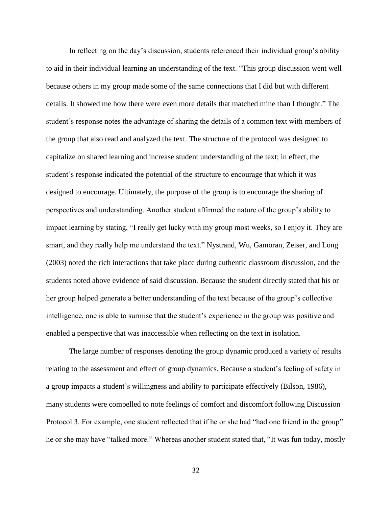In reflecting on the day's discussion, students referenced their individual group's ability to aid in their individual learning an understanding of the text. "This group discussion went well because others in my group made some of the same connections that I did but with different details. It showed me how there were even more details that matched mine than I thought." The student's response notes the advantage of sharing the details of a common text with members of the group that also read and analyzed the text. The structure of the protocol was designed to capitalize on shared learning and increase student understanding of the text; in effect, the student's response indicated the potential of the structure to encourage that which it was designed to encourage. Ultimately, the purpose of the group is to encourage the sharing of perspectives and understanding. Another student affirmed the nature of the group's ability to impact learning by stating, "I really get lucky with my group most weeks, so I enjoy it. They are smart, and they really help me understand the text." Nystrand, Wu, Gamoran, Zeiser, and Long (2003) noted the rich interactions that take place during authentic classroom discussion, and the students noted above evidence of said discussion. Because the student directly stated that his or her group helped generate a better understanding of the text because of the group's collective intelligence, one is able to surmise that the student's experience in the group was positive and enabled a perspective that was inaccessible when reflecting on the text in isolation.

The large number of responses denoting the group dynamic produced a variety of results relating to the assessment and effect of group dynamics. Because a student's feeling of safety in a group impacts a student's willingness and ability to participate effectively (Bilson, 1986), many students were compelled to note feelings of comfort and discomfort following Discussion Protocol 3. For example, one student reflected that if he or she had "had one friend in the group" he or she may have "talked more." Whereas another student stated that, "It was fun today, mostly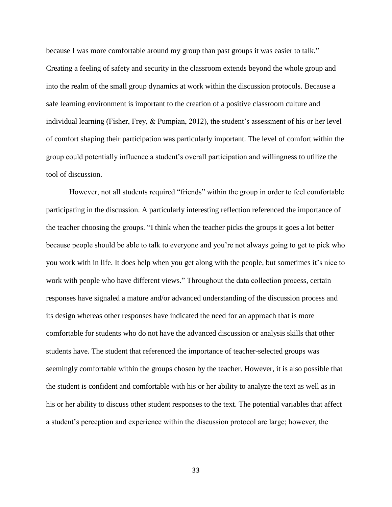because I was more comfortable around my group than past groups it was easier to talk." Creating a feeling of safety and security in the classroom extends beyond the whole group and into the realm of the small group dynamics at work within the discussion protocols. Because a safe learning environment is important to the creation of a positive classroom culture and individual learning (Fisher, Frey, & Pumpian, 2012), the student's assessment of his or her level of comfort shaping their participation was particularly important. The level of comfort within the group could potentially influence a student's overall participation and willingness to utilize the tool of discussion.

However, not all students required "friends" within the group in order to feel comfortable participating in the discussion. A particularly interesting reflection referenced the importance of the teacher choosing the groups. "I think when the teacher picks the groups it goes a lot better because people should be able to talk to everyone and you're not always going to get to pick who you work with in life. It does help when you get along with the people, but sometimes it's nice to work with people who have different views." Throughout the data collection process, certain responses have signaled a mature and/or advanced understanding of the discussion process and its design whereas other responses have indicated the need for an approach that is more comfortable for students who do not have the advanced discussion or analysis skills that other students have. The student that referenced the importance of teacher-selected groups was seemingly comfortable within the groups chosen by the teacher. However, it is also possible that the student is confident and comfortable with his or her ability to analyze the text as well as in his or her ability to discuss other student responses to the text. The potential variables that affect a student's perception and experience within the discussion protocol are large; however, the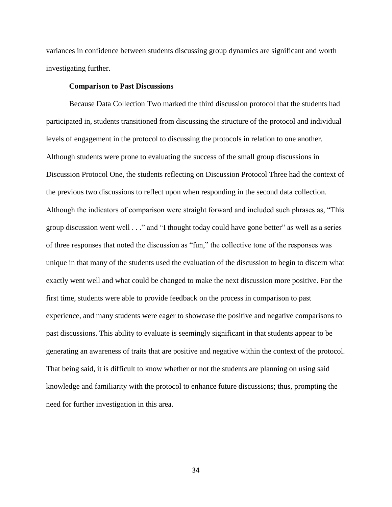variances in confidence between students discussing group dynamics are significant and worth investigating further.

### **Comparison to Past Discussions**

Because Data Collection Two marked the third discussion protocol that the students had participated in, students transitioned from discussing the structure of the protocol and individual levels of engagement in the protocol to discussing the protocols in relation to one another. Although students were prone to evaluating the success of the small group discussions in Discussion Protocol One, the students reflecting on Discussion Protocol Three had the context of the previous two discussions to reflect upon when responding in the second data collection. Although the indicators of comparison were straight forward and included such phrases as, "This group discussion went well . . ." and "I thought today could have gone better" as well as a series of three responses that noted the discussion as "fun," the collective tone of the responses was unique in that many of the students used the evaluation of the discussion to begin to discern what exactly went well and what could be changed to make the next discussion more positive. For the first time, students were able to provide feedback on the process in comparison to past experience, and many students were eager to showcase the positive and negative comparisons to past discussions. This ability to evaluate is seemingly significant in that students appear to be generating an awareness of traits that are positive and negative within the context of the protocol. That being said, it is difficult to know whether or not the students are planning on using said knowledge and familiarity with the protocol to enhance future discussions; thus, prompting the need for further investigation in this area.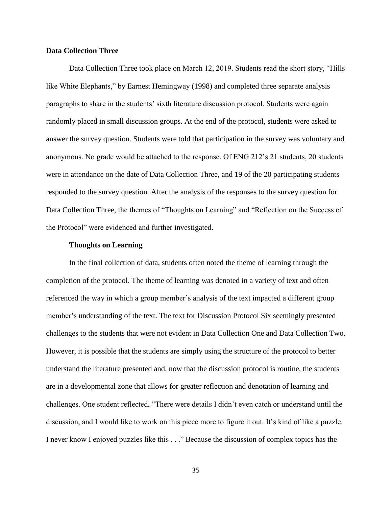#### **Data Collection Three**

Data Collection Three took place on March 12, 2019. Students read the short story, "Hills like White Elephants," by Earnest Hemingway (1998) and completed three separate analysis paragraphs to share in the students' sixth literature discussion protocol. Students were again randomly placed in small discussion groups. At the end of the protocol, students were asked to answer the survey question. Students were told that participation in the survey was voluntary and anonymous. No grade would be attached to the response. Of ENG 212's 21 students, 20 students were in attendance on the date of Data Collection Three, and 19 of the 20 participating students responded to the survey question. After the analysis of the responses to the survey question for Data Collection Three, the themes of "Thoughts on Learning" and "Reflection on the Success of the Protocol" were evidenced and further investigated.

#### **Thoughts on Learning**

In the final collection of data, students often noted the theme of learning through the completion of the protocol. The theme of learning was denoted in a variety of text and often referenced the way in which a group member's analysis of the text impacted a different group member's understanding of the text. The text for Discussion Protocol Six seemingly presented challenges to the students that were not evident in Data Collection One and Data Collection Two. However, it is possible that the students are simply using the structure of the protocol to better understand the literature presented and, now that the discussion protocol is routine, the students are in a developmental zone that allows for greater reflection and denotation of learning and challenges. One student reflected, "There were details I didn't even catch or understand until the discussion, and I would like to work on this piece more to figure it out. It's kind of like a puzzle. I never know I enjoyed puzzles like this . . ." Because the discussion of complex topics has the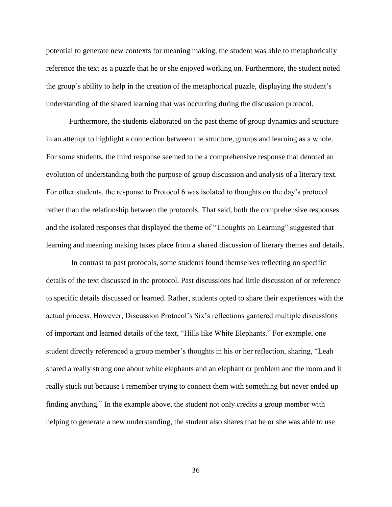potential to generate new contexts for meaning making, the student was able to metaphorically reference the text as a puzzle that he or she enjoyed working on. Furthermore, the student noted the group's ability to help in the creation of the metaphorical puzzle, displaying the student's understanding of the shared learning that was occurring during the discussion protocol.

Furthermore, the students elaborated on the past theme of group dynamics and structure in an attempt to highlight a connection between the structure, groups and learning as a whole. For some students, the third response seemed to be a comprehensive response that denoted an evolution of understanding both the purpose of group discussion and analysis of a literary text. For other students, the response to Protocol 6 was isolated to thoughts on the day's protocol rather than the relationship between the protocols. That said, both the comprehensive responses and the isolated responses that displayed the theme of "Thoughts on Learning" suggested that learning and meaning making takes place from a shared discussion of literary themes and details.

In contrast to past protocols, some students found themselves reflecting on specific details of the text discussed in the protocol. Past discussions had little discussion of or reference to specific details discussed or learned. Rather, students opted to share their experiences with the actual process. However, Discussion Protocol's Six's reflections garnered multiple discussions of important and learned details of the text, "Hills like White Elephants." For example, one student directly referenced a group member's thoughts in his or her reflection, sharing, "Leah shared a really strong one about white elephants and an elephant or problem and the room and it really stuck out because I remember trying to connect them with something but never ended up finding anything." In the example above, the student not only credits a group member with helping to generate a new understanding, the student also shares that he or she was able to use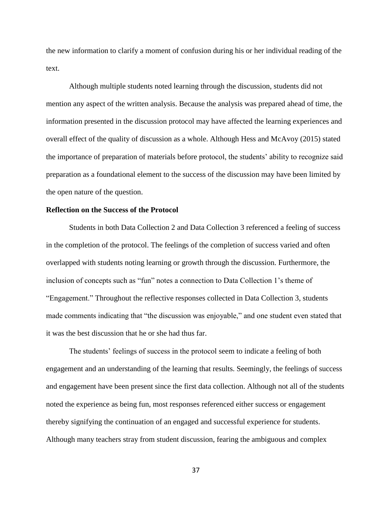the new information to clarify a moment of confusion during his or her individual reading of the text.

Although multiple students noted learning through the discussion, students did not mention any aspect of the written analysis. Because the analysis was prepared ahead of time, the information presented in the discussion protocol may have affected the learning experiences and overall effect of the quality of discussion as a whole. Although Hess and McAvoy (2015) stated the importance of preparation of materials before protocol, the students' ability to recognize said preparation as a foundational element to the success of the discussion may have been limited by the open nature of the question.

#### **Reflection on the Success of the Protocol**

Students in both Data Collection 2 and Data Collection 3 referenced a feeling of success in the completion of the protocol. The feelings of the completion of success varied and often overlapped with students noting learning or growth through the discussion. Furthermore, the inclusion of concepts such as "fun" notes a connection to Data Collection 1's theme of "Engagement." Throughout the reflective responses collected in Data Collection 3, students made comments indicating that "the discussion was enjoyable," and one student even stated that it was the best discussion that he or she had thus far.

The students' feelings of success in the protocol seem to indicate a feeling of both engagement and an understanding of the learning that results. Seemingly, the feelings of success and engagement have been present since the first data collection. Although not all of the students noted the experience as being fun, most responses referenced either success or engagement thereby signifying the continuation of an engaged and successful experience for students. Although many teachers stray from student discussion, fearing the ambiguous and complex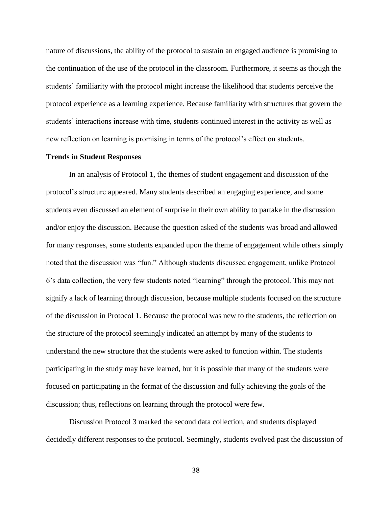nature of discussions, the ability of the protocol to sustain an engaged audience is promising to the continuation of the use of the protocol in the classroom. Furthermore, it seems as though the students' familiarity with the protocol might increase the likelihood that students perceive the protocol experience as a learning experience. Because familiarity with structures that govern the students' interactions increase with time, students continued interest in the activity as well as new reflection on learning is promising in terms of the protocol's effect on students.

#### **Trends in Student Responses**

In an analysis of Protocol 1, the themes of student engagement and discussion of the protocol's structure appeared. Many students described an engaging experience, and some students even discussed an element of surprise in their own ability to partake in the discussion and/or enjoy the discussion. Because the question asked of the students was broad and allowed for many responses, some students expanded upon the theme of engagement while others simply noted that the discussion was "fun." Although students discussed engagement, unlike Protocol 6's data collection, the very few students noted "learning" through the protocol. This may not signify a lack of learning through discussion, because multiple students focused on the structure of the discussion in Protocol 1. Because the protocol was new to the students, the reflection on the structure of the protocol seemingly indicated an attempt by many of the students to understand the new structure that the students were asked to function within. The students participating in the study may have learned, but it is possible that many of the students were focused on participating in the format of the discussion and fully achieving the goals of the discussion; thus, reflections on learning through the protocol were few.

Discussion Protocol 3 marked the second data collection, and students displayed decidedly different responses to the protocol. Seemingly, students evolved past the discussion of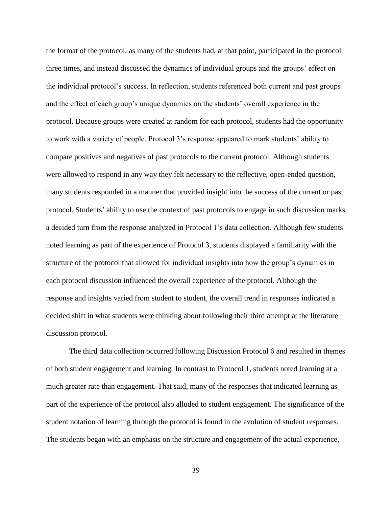the format of the protocol, as many of the students had, at that point, participated in the protocol three times, and instead discussed the dynamics of individual groups and the groups' effect on the individual protocol's success. In reflection, students referenced both current and past groups and the effect of each group's unique dynamics on the students' overall experience in the protocol. Because groups were created at random for each protocol, students had the opportunity to work with a variety of people. Protocol 3's response appeared to mark students' ability to compare positives and negatives of past protocols to the current protocol. Although students were allowed to respond in any way they felt necessary to the reflective, open-ended question, many students responded in a manner that provided insight into the success of the current or past protocol. Students' ability to use the context of past protocols to engage in such discussion marks a decided turn from the response analyzed in Protocol 1's data collection. Although few students noted learning as part of the experience of Protocol 3, students displayed a familiarity with the structure of the protocol that allowed for individual insights into how the group's dynamics in each protocol discussion influenced the overall experience of the protocol. Although the response and insights varied from student to student, the overall trend in responses indicated a decided shift in what students were thinking about following their third attempt at the literature discussion protocol.

The third data collection occurred following Discussion Protocol 6 and resulted in themes of both student engagement and learning. In contrast to Protocol 1, students noted learning at a much greater rate than engagement. That said, many of the responses that indicated learning as part of the experience of the protocol also alluded to student engagement. The significance of the student notation of learning through the protocol is found in the evolution of student responses. The students began with an emphasis on the structure and engagement of the actual experience,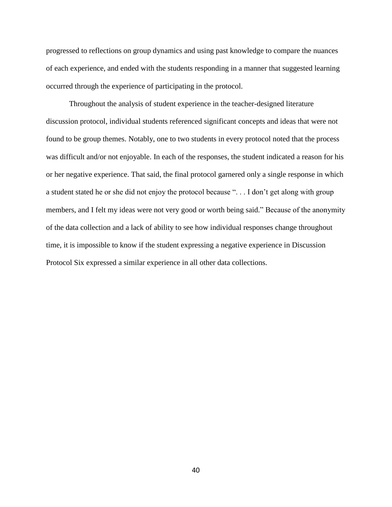progressed to reflections on group dynamics and using past knowledge to compare the nuances of each experience, and ended with the students responding in a manner that suggested learning occurred through the experience of participating in the protocol.

Throughout the analysis of student experience in the teacher-designed literature discussion protocol, individual students referenced significant concepts and ideas that were not found to be group themes. Notably, one to two students in every protocol noted that the process was difficult and/or not enjoyable. In each of the responses, the student indicated a reason for his or her negative experience. That said, the final protocol garnered only a single response in which a student stated he or she did not enjoy the protocol because ". . . I don't get along with group members, and I felt my ideas were not very good or worth being said." Because of the anonymity of the data collection and a lack of ability to see how individual responses change throughout time, it is impossible to know if the student expressing a negative experience in Discussion Protocol Six expressed a similar experience in all other data collections.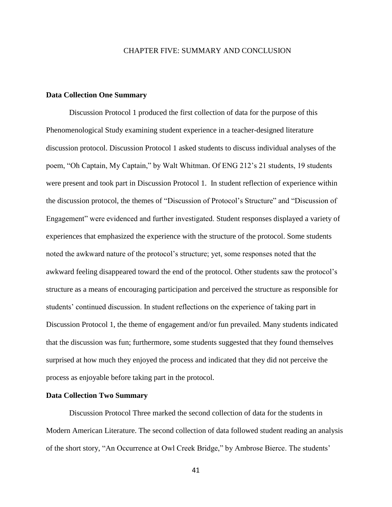### CHAPTER FIVE: SUMMARY AND CONCLUSION

#### **Data Collection One Summary**

Discussion Protocol 1 produced the first collection of data for the purpose of this Phenomenological Study examining student experience in a teacher-designed literature discussion protocol. Discussion Protocol 1 asked students to discuss individual analyses of the poem, "Oh Captain, My Captain," by Walt Whitman. Of ENG 212's 21 students, 19 students were present and took part in Discussion Protocol 1. In student reflection of experience within the discussion protocol, the themes of "Discussion of Protocol's Structure" and "Discussion of Engagement" were evidenced and further investigated. Student responses displayed a variety of experiences that emphasized the experience with the structure of the protocol. Some students noted the awkward nature of the protocol's structure; yet, some responses noted that the awkward feeling disappeared toward the end of the protocol. Other students saw the protocol's structure as a means of encouraging participation and perceived the structure as responsible for students' continued discussion. In student reflections on the experience of taking part in Discussion Protocol 1, the theme of engagement and/or fun prevailed. Many students indicated that the discussion was fun; furthermore, some students suggested that they found themselves surprised at how much they enjoyed the process and indicated that they did not perceive the process as enjoyable before taking part in the protocol.

#### **Data Collection Two Summary**

Discussion Protocol Three marked the second collection of data for the students in Modern American Literature. The second collection of data followed student reading an analysis of the short story, "An Occurrence at Owl Creek Bridge," by Ambrose Bierce. The students'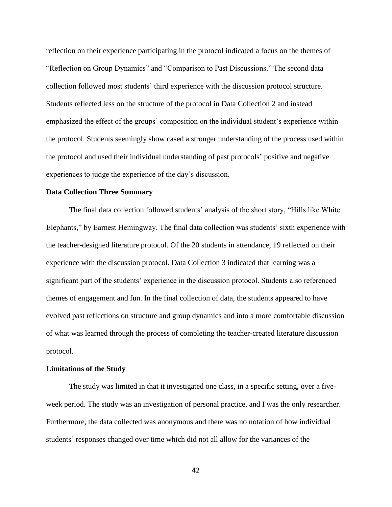reflection on their experience participating in the protocol indicated a focus on the themes of "Reflection on Group Dynamics" and "Comparison to Past Discussions." The second data collection followed most students' third experience with the discussion protocol structure. Students reflected less on the structure of the protocol in Data Collection 2 and instead emphasized the effect of the groups' composition on the individual student's experience within the protocol. Students seemingly show cased a stronger understanding of the process used within the protocol and used their individual understanding of past protocols' positive and negative experiences to judge the experience of the day's discussion.

#### **Data Collection Three Summary**

The final data collection followed students' analysis of the short story, "Hills like White Elephants," by Earnest Hemingway. The final data collection was students' sixth experience with the teacher-designed literature protocol. Of the 20 students in attendance, 19 reflected on their experience with the discussion protocol. Data Collection 3 indicated that learning was a significant part of the students' experience in the discussion protocol. Students also referenced themes of engagement and fun. In the final collection of data, the students appeared to have evolved past reflections on structure and group dynamics and into a more comfortable discussion of what was learned through the process of completing the teacher-created literature discussion protocol.

#### **Limitations of the Study**

The study was limited in that it investigated one class, in a specific setting, over a fiveweek period. The study was an investigation of personal practice, and I was the only researcher. Furthermore, the data collected was anonymous and there was no notation of how individual students' responses changed over time which did not all allow for the variances of the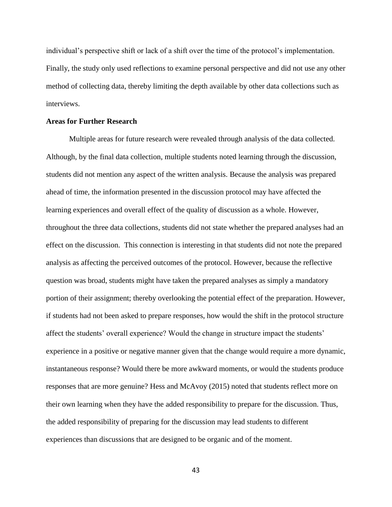individual's perspective shift or lack of a shift over the time of the protocol's implementation. Finally, the study only used reflections to examine personal perspective and did not use any other method of collecting data, thereby limiting the depth available by other data collections such as interviews.

#### **Areas for Further Research**

Multiple areas for future research were revealed through analysis of the data collected. Although, by the final data collection, multiple students noted learning through the discussion, students did not mention any aspect of the written analysis. Because the analysis was prepared ahead of time, the information presented in the discussion protocol may have affected the learning experiences and overall effect of the quality of discussion as a whole. However, throughout the three data collections, students did not state whether the prepared analyses had an effect on the discussion. This connection is interesting in that students did not note the prepared analysis as affecting the perceived outcomes of the protocol. However, because the reflective question was broad, students might have taken the prepared analyses as simply a mandatory portion of their assignment; thereby overlooking the potential effect of the preparation. However, if students had not been asked to prepare responses, how would the shift in the protocol structure affect the students' overall experience? Would the change in structure impact the students' experience in a positive or negative manner given that the change would require a more dynamic, instantaneous response? Would there be more awkward moments, or would the students produce responses that are more genuine? Hess and McAvoy (2015) noted that students reflect more on their own learning when they have the added responsibility to prepare for the discussion. Thus, the added responsibility of preparing for the discussion may lead students to different experiences than discussions that are designed to be organic and of the moment.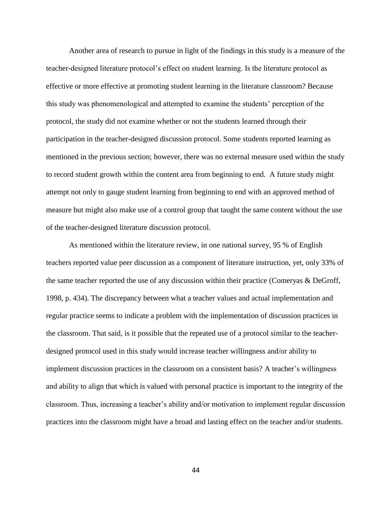Another area of research to pursue in light of the findings in this study is a measure of the teacher-designed literature protocol's effect on student learning. Is the literature protocol as effective or more effective at promoting student learning in the literature classroom? Because this study was phenomenological and attempted to examine the students' perception of the protocol, the study did not examine whether or not the students learned through their participation in the teacher-designed discussion protocol. Some students reported learning as mentioned in the previous section; however, there was no external measure used within the study to record student growth within the content area from beginning to end. A future study might attempt not only to gauge student learning from beginning to end with an approved method of measure but might also make use of a control group that taught the same content without the use of the teacher-designed literature discussion protocol.

As mentioned within the literature review, in one national survey, 95 % of English teachers reported value peer discussion as a component of literature instruction, yet, only 33% of the same teacher reported the use of any discussion within their practice (Comeryas & DeGroff, 1998, p. 434). The discrepancy between what a teacher values and actual implementation and regular practice seems to indicate a problem with the implementation of discussion practices in the classroom. That said, is it possible that the repeated use of a protocol similar to the teacherdesigned protocol used in this study would increase teacher willingness and/or ability to implement discussion practices in the classroom on a consistent basis? A teacher's willingness and ability to align that which is valued with personal practice is important to the integrity of the classroom. Thus, increasing a teacher's ability and/or motivation to implement regular discussion practices into the classroom might have a broad and lasting effect on the teacher and/or students.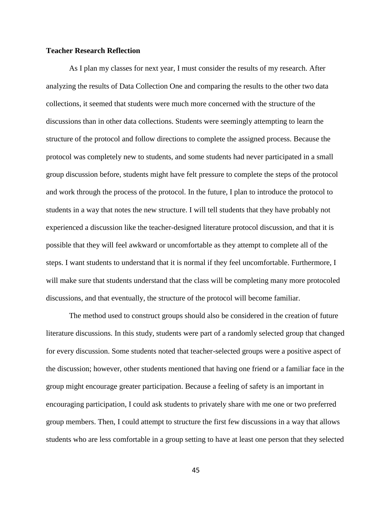#### **Teacher Research Reflection**

As I plan my classes for next year, I must consider the results of my research. After analyzing the results of Data Collection One and comparing the results to the other two data collections, it seemed that students were much more concerned with the structure of the discussions than in other data collections. Students were seemingly attempting to learn the structure of the protocol and follow directions to complete the assigned process. Because the protocol was completely new to students, and some students had never participated in a small group discussion before, students might have felt pressure to complete the steps of the protocol and work through the process of the protocol. In the future, I plan to introduce the protocol to students in a way that notes the new structure. I will tell students that they have probably not experienced a discussion like the teacher-designed literature protocol discussion, and that it is possible that they will feel awkward or uncomfortable as they attempt to complete all of the steps. I want students to understand that it is normal if they feel uncomfortable. Furthermore, I will make sure that students understand that the class will be completing many more protocoled discussions, and that eventually, the structure of the protocol will become familiar.

The method used to construct groups should also be considered in the creation of future literature discussions. In this study, students were part of a randomly selected group that changed for every discussion. Some students noted that teacher-selected groups were a positive aspect of the discussion; however, other students mentioned that having one friend or a familiar face in the group might encourage greater participation. Because a feeling of safety is an important in encouraging participation, I could ask students to privately share with me one or two preferred group members. Then, I could attempt to structure the first few discussions in a way that allows students who are less comfortable in a group setting to have at least one person that they selected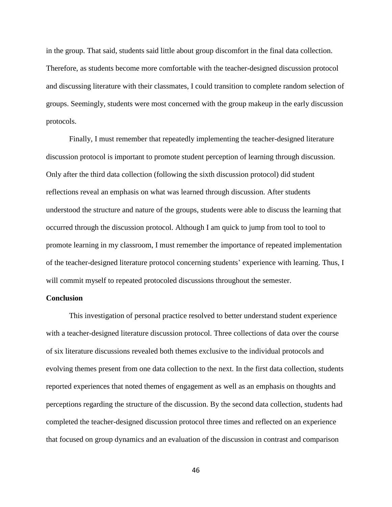in the group. That said, students said little about group discomfort in the final data collection. Therefore, as students become more comfortable with the teacher-designed discussion protocol and discussing literature with their classmates, I could transition to complete random selection of groups. Seemingly, students were most concerned with the group makeup in the early discussion protocols.

Finally, I must remember that repeatedly implementing the teacher-designed literature discussion protocol is important to promote student perception of learning through discussion. Only after the third data collection (following the sixth discussion protocol) did student reflections reveal an emphasis on what was learned through discussion. After students understood the structure and nature of the groups, students were able to discuss the learning that occurred through the discussion protocol. Although I am quick to jump from tool to tool to promote learning in my classroom, I must remember the importance of repeated implementation of the teacher-designed literature protocol concerning students' experience with learning. Thus, I will commit myself to repeated protocoled discussions throughout the semester.

#### **Conclusion**

This investigation of personal practice resolved to better understand student experience with a teacher-designed literature discussion protocol. Three collections of data over the course of six literature discussions revealed both themes exclusive to the individual protocols and evolving themes present from one data collection to the next. In the first data collection, students reported experiences that noted themes of engagement as well as an emphasis on thoughts and perceptions regarding the structure of the discussion. By the second data collection, students had completed the teacher-designed discussion protocol three times and reflected on an experience that focused on group dynamics and an evaluation of the discussion in contrast and comparison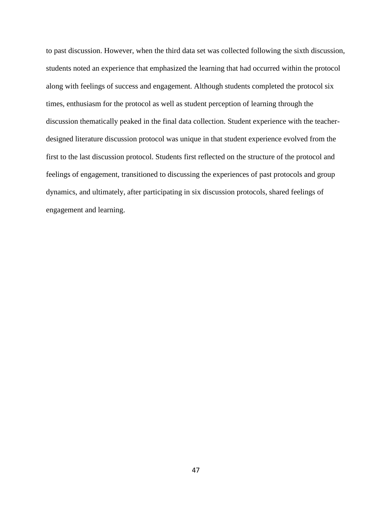to past discussion. However, when the third data set was collected following the sixth discussion, students noted an experience that emphasized the learning that had occurred within the protocol along with feelings of success and engagement. Although students completed the protocol six times, enthusiasm for the protocol as well as student perception of learning through the discussion thematically peaked in the final data collection. Student experience with the teacherdesigned literature discussion protocol was unique in that student experience evolved from the first to the last discussion protocol. Students first reflected on the structure of the protocol and feelings of engagement, transitioned to discussing the experiences of past protocols and group dynamics, and ultimately, after participating in six discussion protocols, shared feelings of engagement and learning.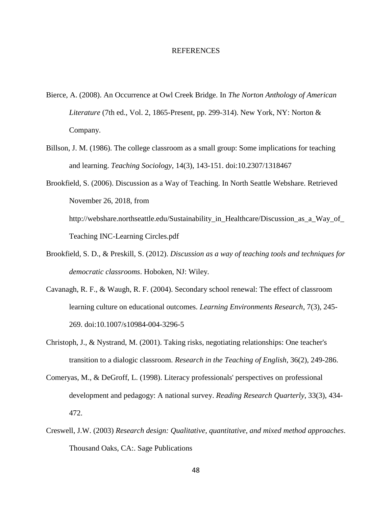#### REFERENCES

- Bierce, A. (2008). An Occurrence at Owl Creek Bridge. In *The Norton Anthology of American Literature* (7th ed., Vol. 2, 1865-Present, pp. 299-314). New York, NY: Norton & Company.
- Billson, J. M. (1986). The college classroom as a small group: Some implications for teaching and learning. *Teaching Sociology*, 14(3), 143-151. doi:10.2307/1318467
- Brookfield, S. (2006). Discussion as a Way of Teaching. In North Seattle Webshare. Retrieved November 26, 2018, from http://webshare.northseattle.edu/Sustainability\_in\_Healthcare/Discussion\_as\_a\_Way\_of\_ Teaching INC-Learning Circles.pdf
- Brookfield, S. D., & Preskill, S. (2012). *Discussion as a way of teaching tools and techniques for democratic classrooms*. Hoboken, NJ: Wiley.
- Cavanagh, R. F., & Waugh, R. F. (2004). Secondary school renewal: The effect of classroom learning culture on educational outcomes. *Learning Environments Research*, 7(3), 245- 269. doi:10.1007/s10984-004-3296-5
- Christoph, J., & Nystrand, M. (2001). Taking risks, negotiating relationships: One teacher's transition to a dialogic classroom. *Research in the Teaching of English*, 36(2), 249-286.
- Comeryas, M., & DeGroff, L. (1998). Literacy professionals' perspectives on professional development and pedagogy: A national survey. *Reading Research Quarterly*, 33(3), 434- 472.
- Creswell, J.W. (2003) *Research design: Qualitative, quantitative, and mixed method approaches*. Thousand Oaks, CA:. Sage Publications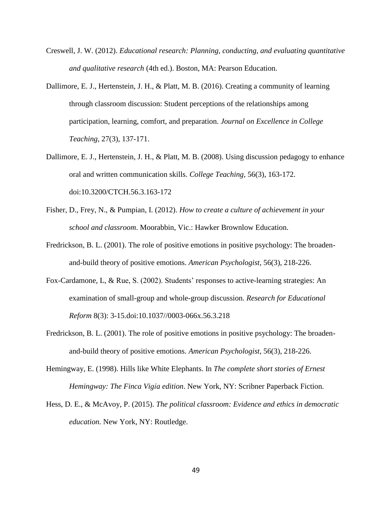- Creswell, J. W. (2012). *Educational research: Planning, conducting, and evaluating quantitative and qualitative research* (4th ed.). Boston, MA: Pearson Education.
- Dallimore, E. J., Hertenstein, J. H., & Platt, M. B. (2016). Creating a community of learning through classroom discussion: Student perceptions of the relationships among participation, learning, comfort, and preparation. *Journal on Excellence in College Teaching*, 27(3), 137-171.
- Dallimore, E. J., Hertenstein, J. H., & Platt, M. B. (2008). Using discussion pedagogy to enhance oral and written communication skills. *College Teaching*, 56(3), 163-172. doi:10.3200/CTCH.56.3.163-172
- Fisher, D., Frey, N., & Pumpian, I. (2012). *How to create a culture of achievement in your school and classroom*. Moorabbin, Vic.: Hawker Brownlow Education.
- Fredrickson, B. L. (2001). The role of positive emotions in positive psychology: The broadenand-build theory of positive emotions. *American Psychologist*, 56(3), 218-226.
- Fox-Cardamone, L, & Rue, S. (2002). Students' responses to active-learning strategies: An examination of small-group and whole-group discussion. *Research for Educational Reform* 8(3): 3-15.doi:10.1037//0003-066x.56.3.218
- Fredrickson, B. L. (2001). The role of positive emotions in positive psychology: The broadenand-build theory of positive emotions. *American Psychologist*, 56(3), 218-226.
- Hemingway, E. (1998). Hills like White Elephants. In *The complete short stories of Ernest Hemingway: The Finca Vigía edition*. New York, NY: Scribner Paperback Fiction.
- Hess, D. E., & McAvoy, P. (2015). *The political classroom: Evidence and ethics in democratic education.* New York, NY: Routledge.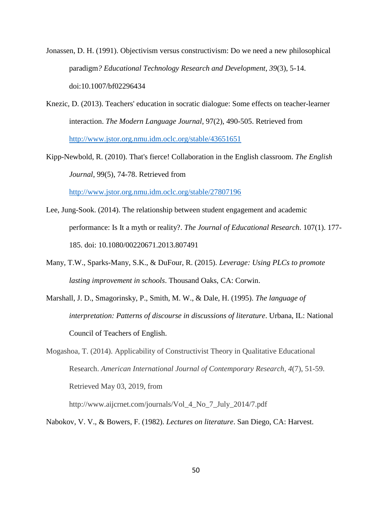Jonassen, D. H. (1991). Objectivism versus constructivism: Do we need a new philosophical paradigm*? Educational Technology Research and Development, 39*(3), 5-14. doi:10.1007/bf02296434

Knezic, D. (2013). Teachers' education in socratic dialogue: Some effects on teacher-learner interaction. *The Modern Language Journal*, 97(2), 490-505. Retrieved from <http://www.jstor.org.nmu.idm.oclc.org/stable/43651651>

Kipp-Newbold, R. (2010). That's fierce! Collaboration in the English classroom. *The English Journal*, 99(5), 74-78. Retrieved from

<http://www.jstor.org.nmu.idm.oclc.org/stable/27807196>

- Lee, Jung-Sook. (2014). The relationship between student engagement and academic performance: Is It a myth or reality?. *The Journal of Educational Research*. 107(1). 177- 185. doi: 10.1080/00220671.2013.807491
- Many, T.W., Sparks-Many, S.K., & DuFour, R. (2015). *Leverage: Using PLCs to promote lasting improvement in schools*. Thousand Oaks, CA: Corwin.
- Marshall, J. D., Smagorinsky, P., Smith, M. W., & Dale, H. (1995). *The language of interpretation: Patterns of discourse in discussions of literature*. Urbana, IL: National Council of Teachers of English.
- Mogashoa, T. (2014). Applicability of Constructivist Theory in Qualitative Educational Research. *American International Journal of Contemporary Research, 4*(7), 51-59. Retrieved May 03, 2019, from

http://www.aijcrnet.com/journals/Vol\_4\_No\_7\_July\_2014/7.pdf

Nabokov, V. V., & Bowers, F. (1982). *Lectures on literature*. San Diego, CA: Harvest.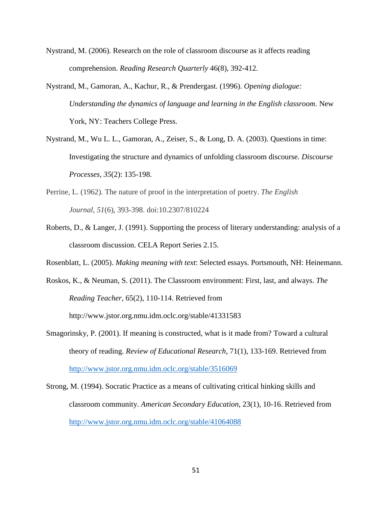- Nystrand, M. (2006). Research on the role of classroom discourse as it affects reading comprehension. *Reading Research Quarterly* 46(8), 392-412.
- Nystrand, M., Gamoran, A., Kachur, R., & Prendergast. (1996). *Opening dialogue: Understanding the dynamics of language and learning in the English classroom*. New York, NY: Teachers College Press.
- Nystrand, M., Wu L. L., Gamoran, A., Zeiser, S., & Long, D. A. (2003). Questions in time: Investigating the structure and dynamics of unfolding classroom discourse. *Discourse Processes, 35*(2): 135-198.
- Perrine, L. (1962). The nature of proof in the interpretation of poetry. *The English Journal, 51*(6), 393-398. doi:10.2307/810224
- Roberts, D., & Langer, J. (1991). Supporting the process of literary understanding: analysis of a classroom discussion. CELA Report Series 2.15.

Rosenblatt, L. (2005). *Making meaning with text*: Selected essays. Portsmouth, NH: Heinemann.

- Roskos, K., & Neuman, S. (2011). The Classroom environment: First, last, and always. *The Reading Teacher*, 65(2), 110-114. Retrieved from http://www.jstor.org.nmu.idm.oclc.org/stable/41331583
- Smagorinsky, P. (2001). If meaning is constructed, what is it made from? Toward a cultural theory of reading. *Review of Educational Research*, 71(1), 133-169. Retrieved from <http://www.jstor.org.nmu.idm.oclc.org/stable/3516069>
- Strong, M. (1994). Socratic Practice as a means of cultivating critical hinking skills and classroom community. *American Secondary Education*, 23(1), 10-16. Retrieved from <http://www.jstor.org.nmu.idm.oclc.org/stable/41064088>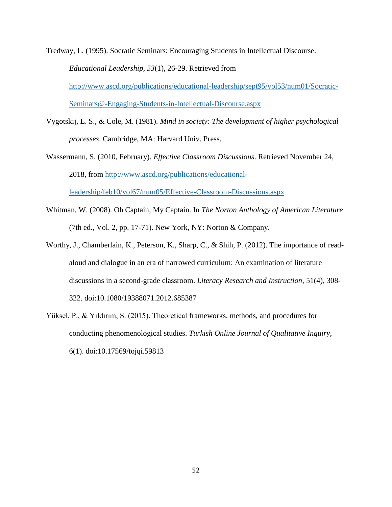Tredway, L. (1995). Socratic Seminars: Encouraging Students in Intellectual Discourse.

*Educational Leadership, 53*(1), 26-29. Retrieved from

[http://www.ascd.org/publications/educational-leadership/sept95/vol53/num01/Socratic-](http://www.ascd.org/publications/educational-leadership/sept95/vol53/num01/Socratic-Seminars@-Engaging-Students-in-Intellectual-Discourse.aspx)[Seminars@-Engaging-Students-in-Intellectual-Discourse.aspx](http://www.ascd.org/publications/educational-leadership/sept95/vol53/num01/Socratic-Seminars@-Engaging-Students-in-Intellectual-Discourse.aspx)

Vygotskij, L. S., & Cole, M. (1981). *Mind in society: The development of higher psychological* 

- *processes*. Cambridge, MA: Harvard Univ. Press.
- Wassermann, S. (2010, February). *Effective Classroom Discussions*. Retrieved November 24, 2018, from [http://www.ascd.org/publications/educational](http://www.ascd.org/publications/educational-leadership/feb10/vol67/num05/Effective-Classroom-Discussions.aspx)[leadership/feb10/vol67/num05/Effective-Classroom-Discussions.aspx](http://www.ascd.org/publications/educational-leadership/feb10/vol67/num05/Effective-Classroom-Discussions.aspx)
- Whitman, W. (2008). Oh Captain, My Captain. In *The Norton Anthology of American Literature*  (7th ed., Vol. 2, pp. 17-71). New York, NY: Norton & Company.
- Worthy, J., Chamberlain, K., Peterson, K., Sharp, C., & Shih, P. (2012). The importance of readaloud and dialogue in an era of narrowed curriculum: An examination of literature discussions in a second-grade classroom. *Literacy Research and Instruction*, 51(4), 308- 322. doi:10.1080/19388071.2012.685387
- Yüksel, P., & Yıldırım, S. (2015). Theoretical frameworks, methods, and procedures for conducting phenomenological studies. *Turkish Online Journal of Qualitative Inquiry*, 6(1). doi:10.17569/tojqi.59813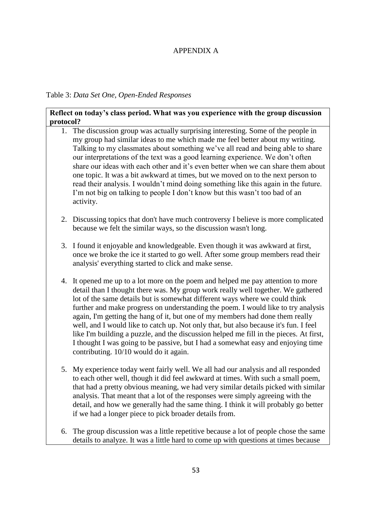# APPENDIX A

Table 3: *Data Set One, Open-Ended Responses* 

### **Reflect on today's class period. What was you experience with the group discussion protocol?**

- 1. The discussion group was actually surprising interesting. Some of the people in my group had similar ideas to me which made me feel better about my writing. Talking to my classmates about something we've all read and being able to share our interpretations of the text was a good learning experience. We don't often share our ideas with each other and it's even better when we can share them about one topic. It was a bit awkward at times, but we moved on to the next person to read their analysis. I wouldn't mind doing something like this again in the future. I'm not big on talking to people I don't know but this wasn't too bad of an activity.
- 2. Discussing topics that don't have much controversy I believe is more complicated because we felt the similar ways, so the discussion wasn't long.
- 3. I found it enjoyable and knowledgeable. Even though it was awkward at first, once we broke the ice it started to go well. After some group members read their analysis' everything started to click and make sense.
- 4. It opened me up to a lot more on the poem and helped me pay attention to more detail than I thought there was. My group work really well together. We gathered lot of the same details but is somewhat different ways where we could think further and make progress on understanding the poem. I would like to try analysis again, I'm getting the hang of it, but one of my members had done them really well, and I would like to catch up. Not only that, but also because it's fun. I feel like I'm building a puzzle, and the discussion helped me fill in the pieces. At first, I thought I was going to be passive, but I had a somewhat easy and enjoying time contributing. 10/10 would do it again.
- 5. My experience today went fairly well. We all had our analysis and all responded to each other well, though it did feel awkward at times. With such a small poem, that had a pretty obvious meaning, we had very similar details picked with similar analysis. That meant that a lot of the responses were simply agreeing with the detail, and how we generally had the same thing. I think it will probably go better if we had a longer piece to pick broader details from.
- 6. The group discussion was a little repetitive because a lot of people chose the same details to analyze. It was a little hard to come up with questions at times because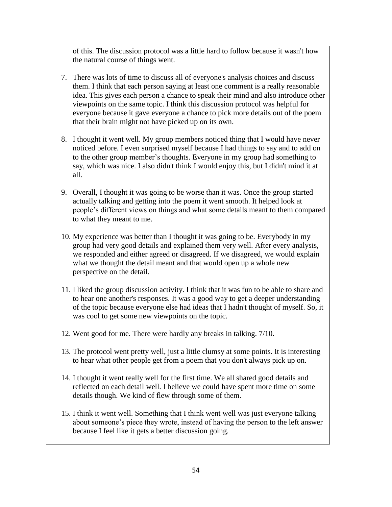of this. The discussion protocol was a little hard to follow because it wasn't how the natural course of things went.

- 7. There was lots of time to discuss all of everyone's analysis choices and discuss them. I think that each person saying at least one comment is a really reasonable idea. This gives each person a chance to speak their mind and also introduce other viewpoints on the same topic. I think this discussion protocol was helpful for everyone because it gave everyone a chance to pick more details out of the poem that their brain might not have picked up on its own.
- 8. I thought it went well. My group members noticed thing that I would have never noticed before. I even surprised myself because I had things to say and to add on to the other group member's thoughts. Everyone in my group had something to say, which was nice. I also didn't think I would enjoy this, but I didn't mind it at all.
- 9. Overall, I thought it was going to be worse than it was. Once the group started actually talking and getting into the poem it went smooth. It helped look at people's different views on things and what some details meant to them compared to what they meant to me.
- 10. My experience was better than I thought it was going to be. Everybody in my group had very good details and explained them very well. After every analysis, we responded and either agreed or disagreed. If we disagreed, we would explain what we thought the detail meant and that would open up a whole new perspective on the detail.
- 11. I liked the group discussion activity. I think that it was fun to be able to share and to hear one another's responses. It was a good way to get a deeper understanding of the topic because everyone else had ideas that I hadn't thought of myself. So, it was cool to get some new viewpoints on the topic.
- 12. Went good for me. There were hardly any breaks in talking. 7/10.
- 13. The protocol went pretty well, just a little clumsy at some points. It is interesting to hear what other people get from a poem that you don't always pick up on.
- 14. I thought it went really well for the first time. We all shared good details and reflected on each detail well. I believe we could have spent more time on some details though. We kind of flew through some of them.
- 15. I think it went well. Something that I think went well was just everyone talking about someone's piece they wrote, instead of having the person to the left answer because I feel like it gets a better discussion going.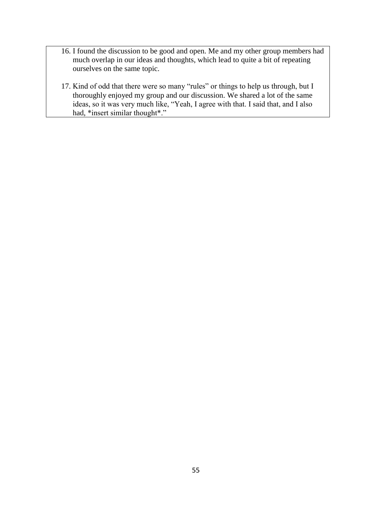- 16. I found the discussion to be good and open. Me and my other group members had much overlap in our ideas and thoughts, which lead to quite a bit of repeating ourselves on the same topic.
- 17. Kind of odd that there were so many "rules" or things to help us through, but I thoroughly enjoyed my group and our discussion. We shared a lot of the same ideas, so it was very much like, "Yeah, I agree with that. I said that, and I also had, \*insert similar thought\*."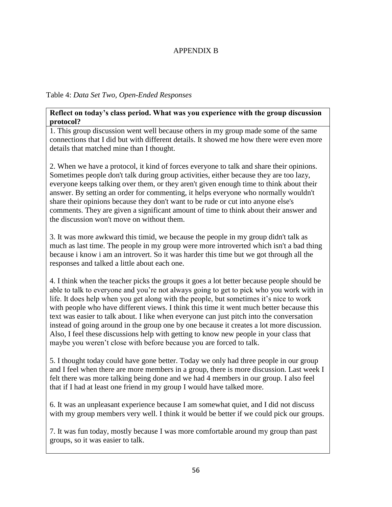# APPENDIX B

### Table 4: *Data Set Two, Open-Ended Responses*

### **Reflect on today's class period. What was you experience with the group discussion protocol?**

1. 1. This group discussion went well because others in my group made some of the same connections that I did but with different details. It showed me how there were even more details that matched mine than I thought.

2. 2. When we have a protocol, it kind of forces everyone to talk and share their opinions. Sometimes people don't talk during group activities, either because they are too lazy, everyone keeps talking over them, or they aren't given enough time to think about their answer. By setting an order for commenting, it helps everyone who normally wouldn't share their opinions because they don't want to be rude or cut into anyone else's comments. They are given a significant amount of time to think about their answer and the discussion won't move on without them.

3. 3. It was more awkward this timid, we because the people in my group didn't talk as much as last time. The people in my group were more introverted which isn't a bad thing because i know i am an introvert. So it was harder this time but we got through all the responses and talked a little about each one.

4. 4. I think when the teacher picks the groups it goes a lot better because people should be able to talk to everyone and you're not always going to get to pick who you work with in life. It does help when you get along with the people, but sometimes it's nice to work with people who have different views. I think this time it went much better because this text was easier to talk about. I like when everyone can just pitch into the conversation instead of going around in the group one by one because it creates a lot more discussion. Also, I feel these discussions help with getting to know new people in your class that maybe you weren't close with before because you are forced to talk.

5. 5. I thought today could have gone better. Today we only had three people in our group and I feel when there are more members in a group, there is more discussion. Last week I felt there was more talking being done and we had 4 members in our group. I also feel that if I had at least one friend in my group I would have talked more.

6. 6. It was an unpleasant experience because I am somewhat quiet, and I did not discuss with my group members very well. I think it would be better if we could pick our groups.

7. 7. It was fun today, mostly because I was more comfortable around my group than past groups, so it was easier to talk.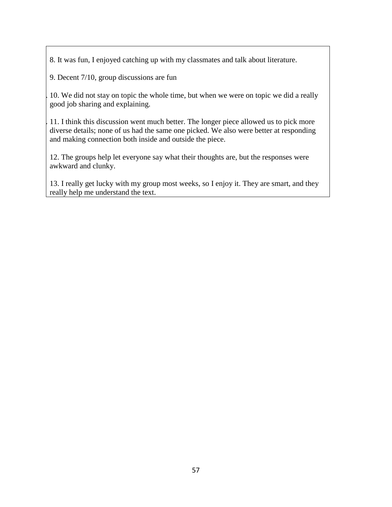8. 8. It was fun, I enjoyed catching up with my classmates and talk about literature.

9. 9. Decent 7/10, group discussions are fun

10. 10. We did not stay on topic the whole time, but when we were on topic we did a really good job sharing and explaining.

11. I think this discussion went much better. The longer piece allowed us to pick more diverse details; none of us had the same one picked. We also were better at responding and making connection both inside and outside the piece.

12. The groups help let everyone say what their thoughts are, but the responses were awkward and clunky.

13. I really get lucky with my group most weeks, so I enjoy it. They are smart, and they really help me understand the text.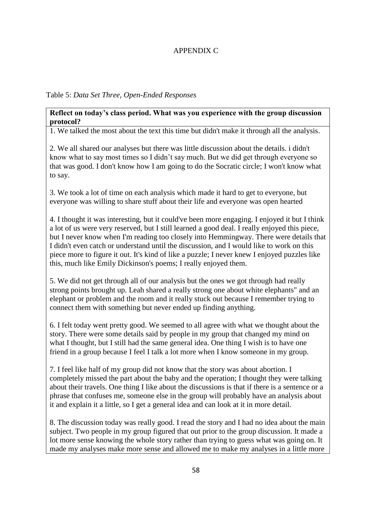# APPENDIX C

## Table 5: *Data Set Three, Open-Ended Responses*

### **Reflect on today's class period. What was you experience with the group discussion protocol?**

1. 1. We talked the most about the text this time but didn't make it through all the analysis.

2. 2. We all shared our analyses but there was little discussion about the details. i didn't know what to say most times so I didn't say much. But we did get through everyone so that was good. I don't know how I am going to do the Socratic circle; I won't know what to say.

3. 3. We took a lot of time on each analysis which made it hard to get to everyone, but everyone was willing to share stuff about their life and everyone was open hearted

4. 4. I thought it was interesting, but it could've been more engaging. I enjoyed it but I think a lot of us were very reserved, but I still learned a good deal. I really enjoyed this piece, but I never know when I'm reading too closely into Hemmingway. There were details that I didn't even catch or understand until the discussion, and I would like to work on this piece more to figure it out. It's kind of like a puzzle; I never knew I enjoyed puzzles like this, much like Emily Dickinson's poems; I really enjoyed them.

5. 5. We did not get through all of our analysis but the ones we got through had really strong points brought up. Leah shared a really strong one about white elephants" and an elephant or problem and the room and it really stuck out because I remember trying to connect them with something but never ended up finding anything.

6. 6. I felt today went pretty good. We seemed to all agree with what we thought about the story. There were some details said by people in my group that changed my mind on what I thought, but I still had the same general idea. One thing I wish is to have one friend in a group because I feel I talk a lot more when I know someone in my group.

7. 7. I feel like half of my group did not know that the story was about abortion. I completely missed the part about the baby and the operation; I thought they were talking about their travels. One thing I like about the discussions is that if there is a sentence or a phrase that confuses me, someone else in the group will probably have an analysis about it and explain it a little, so I get a general idea and can look at it in more detail.

8. The discussion today was really good. I read the story and I had no idea about the main subject. Two people in my group figured that out prior to the group discussion. It made a lot more sense knowing the whole story rather than trying to guess what was going on. It made my analyses make more sense and allowed me to make my analyses in a little more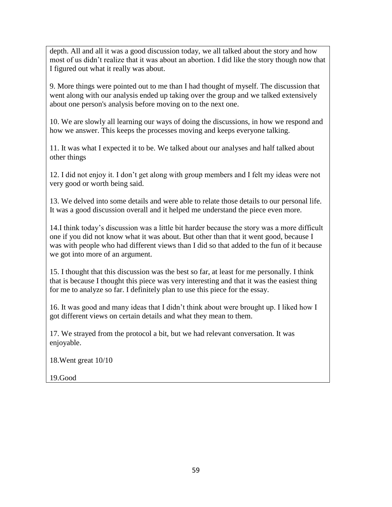depth. All and all it was a good discussion today, we all talked about the story and how most of us didn't realize that it was about an abortion. I did like the story though now that I figured out what it really was about.

9. More things were pointed out to me than I had thought of myself. The discussion that went along with our analysis ended up taking over the group and we talked extensively about one person's analysis before moving on to the next one.

9. 10. We are slowly all learning our ways of doing the discussions, in how we respond and how we answer. This keeps the processes moving and keeps everyone talking.

11. It was what I expected it to be. We talked about our analyses and half talked about other things

12. I did not enjoy it. I don't get along with group members and I felt my ideas were not very good or worth being said.

13. We delved into some details and were able to relate those details to our personal life. It was a good discussion overall and it helped me understand the piece even more.

14.I think today's discussion was a little bit harder because the story was a more difficult one if you did not know what it was about. But other than that it went good, because I was with people who had different views than I did so that added to the fun of it because we got into more of an argument.

15. I thought that this discussion was the best so far, at least for me personally. I think that is because I thought this piece was very interesting and that it was the easiest thing for me to analyze so far. I definitely plan to use this piece for the essay.

16. It was good and many ideas that I didn't think about were brought up. I liked how I got different views on certain details and what they mean to them.

17. We strayed from the protocol a bit, but we had relevant conversation. It was enjoyable.

18.Went great 10/10

19.Good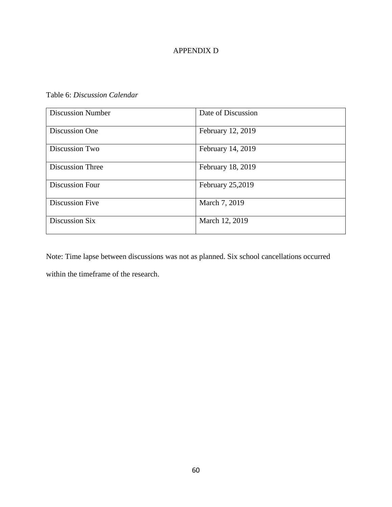# APPENDIX D

Table 6: *Discussion Calendar*

| <b>Discussion Number</b> | Date of Discussion |
|--------------------------|--------------------|
| Discussion One           | February 12, 2019  |
| Discussion Two           | February 14, 2019  |
| <b>Discussion Three</b>  | February 18, 2019  |
| <b>Discussion Four</b>   | February 25,2019   |
| <b>Discussion Five</b>   | March 7, 2019      |
| Discussion Six           | March 12, 2019     |

Note: Time lapse between discussions was not as planned. Six school cancellations occurred within the timeframe of the research.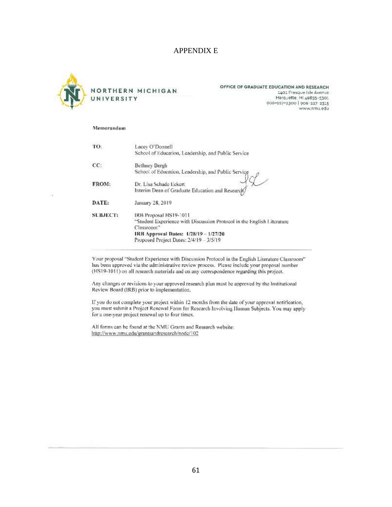### APPENDIX E



OFFICE OF GRADUATE EDUCATION AND RESEARCH 1401 Presque Isle Avenue Marquette, MI 49855-5301 906-227-2300 | 906-227 2315 www.nmu.edu

#### Memorandum

57

| TO:             | Lacey O'Donnell<br>School of Education, Leadership, and Public Service                                                                                                                                         |
|-----------------|----------------------------------------------------------------------------------------------------------------------------------------------------------------------------------------------------------------|
| CC:             | <b>Bethney Bergh</b><br>School of Education, Leadership, and Public Service                                                                                                                                    |
| FROM:           | Dr. Lisa Schade Eckert<br>Interim Dean of Graduate Education and Research/                                                                                                                                     |
| DATE:           | January 28, 2019                                                                                                                                                                                               |
| <b>SUBJECT:</b> | IRB Proposal HS19-1011<br>"Student Experience with Discussion Protocol in the English Literature<br>Classroom <sup>3</sup><br>IRB Approval Dates: 1/28/19 - 1/27/20<br>Proposed Project Dates: 2/4/19 - 3/5/19 |

Your proposal "Student Experience with Discussion Pretocol in the English Literature Classroom" has been approved via the administrative review process. Please include your proposal number (HS19-1011) on all research materials and on any correspondence regarding this project.

Any changes or revisions to your approved research plan must be approved by the Institutional Review Board (IRB) prior to implementation.

If you do not complete your project within 12 months from the date of your approval notification, you must submit a Project Renewal Form for Research Involving Human Subjects. You may apply for a one-year project renewal up to four times.

All forms can be found at the NMU Grants and Research website: http://www.nmu.edu/grantsandresearch/node/102